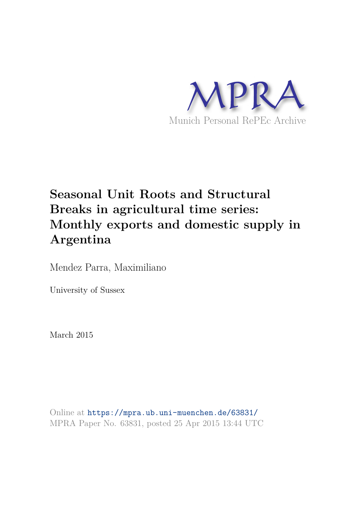

# **Seasonal Unit Roots and Structural Breaks in agricultural time series: Monthly exports and domestic supply in Argentina**

Mendez Parra, Maximiliano

University of Sussex

March 2015

Online at https://mpra.ub.uni-muenchen.de/63831/ MPRA Paper No. 63831, posted 25 Apr 2015 13:44 UTC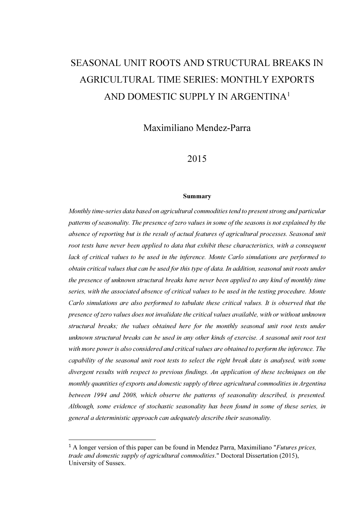# SEASONAL UNIT ROOTS AND STRUCTURAL BREAKS IN AGRICULTURAL TIME SERIES: MONTHLY EXPORTS AND DOMESTIC SUPPLY IN ARGENTINA<sup>1</sup>

Maximiliano Mendez-Parra

# 2015

#### Summary

Monthly time-series data based on agricultural commodities tend to present strong and particular patterns of seasonality. The presence of zero values in some of the seasons is not explained by the absence of reporting but is the result of actual features of agricultural processes. Seasonal unit root tests have never been applied to data that exhibit these characteristics, with a consequent lack of critical values to be used in the inference. Monte Carlo simulations are performed to obtain critical values that can be used for this type of data. In addition, seasonal unit roots under the presence of unknown structural breaks have never been applied to any kind of monthly time series, with the associated absence of critical values to be used in the testing procedure. Monte Carlo simulations are also performed to tabulate these critical values. It is observed that the presence of zero values does not invalidate the critical values available, with or without unknown structural breaks; the values obtained here for the monthly seasonal unit root tests under unknown structural breaks can be used in any other kinds of exercise. A seasonal unit root test with more power is also considered and critical values are obtained to perform the inference. The capability of the seasonal unit root tests to select the right break date is analysed, with some divergent results with respect to previous findings. An application of these techniques on the monthly quantities of exports and domestic supply of three agricultural commodities in Argentina between 1994 and 2008, which observe the patterns of seasonality described, is presented. Although, some evidence of stochastic seasonality has been found in some of these series, in general a deterministic approach can adequately describe their seasonality.

 $\overline{a}$ 

 $<sup>1</sup>$  A longer version of this paper can be found in Mendez Parra, Maximiliano "*Futures prices*,</sup> trade and domestic supply of agricultural commodities." Doctoral Dissertation (2015), University of Sussex.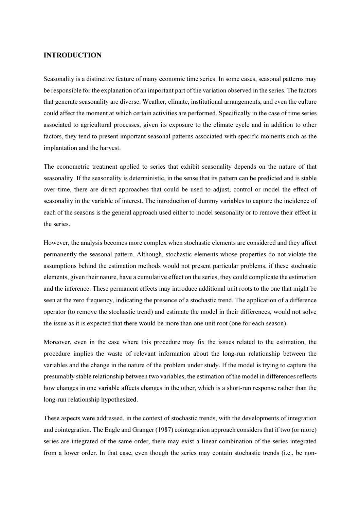### INTRODUCTION

Seasonality is a distinctive feature of many economic time series. In some cases, seasonal patterns may be responsible for the explanation of an important part of the variation observed in the series. The factors that generate seasonality are diverse. Weather, climate, institutional arrangements, and even the culture could affect the moment at which certain activities are performed. Specifically in the case of time series associated to agricultural processes, given its exposure to the climate cycle and in addition to other factors, they tend to present important seasonal patterns associated with specific moments such as the implantation and the harvest.

The econometric treatment applied to series that exhibit seasonality depends on the nature of that seasonality. If the seasonality is deterministic, in the sense that its pattern can be predicted and is stable over time, there are direct approaches that could be used to adjust, control or model the effect of seasonality in the variable of interest. The introduction of dummy variables to capture the incidence of each of the seasons is the general approach used either to model seasonality or to remove their effect in the series.

However, the analysis becomes more complex when stochastic elements are considered and they affect permanently the seasonal pattern. Although, stochastic elements whose properties do not violate the assumptions behind the estimation methods would not present particular problems, if these stochastic elements, given their nature, have a cumulative effect on the series, they could complicate the estimation and the inference. These permanent effects may introduce additional unit roots to the one that might be seen at the zero frequency, indicating the presence of a stochastic trend. The application of a difference operator (to remove the stochastic trend) and estimate the model in their differences, would not solve the issue as it is expected that there would be more than one unit root (one for each season).

Moreover, even in the case where this procedure may fix the issues related to the estimation, the procedure implies the waste of relevant information about the long-run relationship between the variables and the change in the nature of the problem under study. If the model is trying to capture the presumably stable relationship between two variables, the estimation of the model in differences reflects how changes in one variable affects changes in the other, which is a short-run response rather than the long-run relationship hypothesized.

These aspects were addressed, in the context of stochastic trends, with the developments of integration and cointegration. The Engle and Granger (1987) cointegration approach considers that if two (or more) series are integrated of the same order, there may exist a linear combination of the series integrated from a lower order. In that case, even though the series may contain stochastic trends (i.e., be non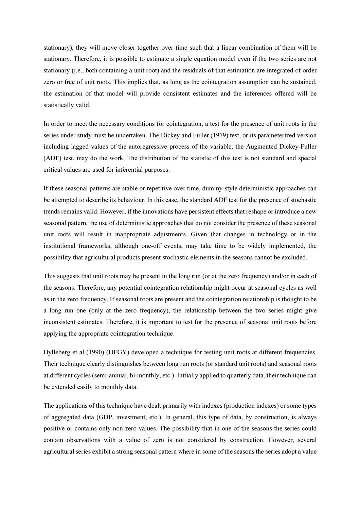stationary), they will move closer together over time such that a linear combination of them will be stationary. Therefore, it is possible to estimate a single equation model even if the two series are not stationary (i.e., both containing a unit root) and the residuals of that estimation are integrated of order zero or free of unit roots. This implies that, as long as the cointegration assumption can be sustained, the estimation of that model will provide consistent estimates and the inferences offered will be statistically valid.

In order to meet the necessary conditions for cointegration, a test for the presence of unit roots in the series under study must be undertaken. The Dickey and Fuller (1979) test, or its parameterized version including lagged values of the autoregressive process of the variable, the Augmented Dickey-Fuller (ADF) test, may do the work. The distribution of the statistic of this test is not standard and special critical values are used for inferential purposes.

If these seasonal patterns are stable or repetitive over time, dummy-style deterministic approaches can be attempted to describe its behaviour. In this case, the standard ADF test for the presence of stochastic trends remains valid. However, if the innovations have persistent effects that reshape or introduce a new seasonal pattern, the use of deterministic approaches that do not consider the presence of these seasonal unit roots will result in inappropriate adjustments. Given that changes in technology or in the institutional frameworks, although one-off events, may take time to be widely implemented, the possibility that agricultural products present stochastic elements in the seasons cannot be excluded.

This suggests that unit roots may be present in the long run (or at the zero frequency) and/or in each of the seasons. Therefore, any potential cointegration relationship might occur at seasonal cycles as well as in the zero frequency. If seasonal roots are present and the cointegration relationship is thought to be a long run one (only at the zero frequency), the relationship between the two series might give inconsistent estimates. Therefore, it is important to test for the presence of seasonal unit roots before applying the appropriate cointegration technique.

Hylleberg et al (1990) (HEGY) developed a technique for testing unit roots at different frequencies. Their technique clearly distinguishes between long run roots (or standard unit roots) and seasonal roots at different cycles (semi-annual, bi-monthly, etc.). Initially applied to quarterly data, their technique can be extended easily to monthly data.

The applications of this technique have dealt primarily with indexes (production indexes) or some types of aggregated data (GDP, investment, etc.). In general, this type of data, by construction, is always positive or contains only non-zero values. The possibility that in one of the seasons the series could contain observations with a value of zero is not considered by construction. However, several agricultural series exhibit a strong seasonal pattern where in some of the seasons the series adopt a value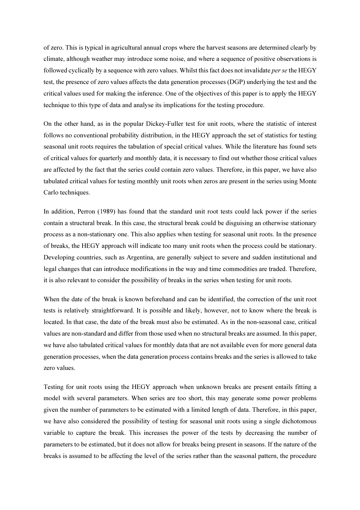of zero. This is typical in agricultural annual crops where the harvest seasons are determined clearly by climate, although weather may introduce some noise, and where a sequence of positive observations is followed cyclically by a sequence with zero values. Whilst this fact does not invalidate *per se* the HEGY test, the presence of zero values affects the data generation processes (DGP) underlying the test and the critical values used for making the inference. One of the objectives of this paper is to apply the HEGY technique to this type of data and analyse its implications for the testing procedure.

On the other hand, as in the popular Dickey-Fuller test for unit roots, where the statistic of interest follows no conventional probability distribution, in the HEGY approach the set of statistics for testing seasonal unit roots requires the tabulation of special critical values. While the literature has found sets of critical values for quarterly and monthly data, it is necessary to find out whether those critical values are affected by the fact that the series could contain zero values. Therefore, in this paper, we have also tabulated critical values for testing monthly unit roots when zeros are present in the series using Monte Carlo techniques.

In addition, Perron (1989) has found that the standard unit root tests could lack power if the series contain a structural break. In this case, the structural break could be disguising an otherwise stationary process as a non-stationary one. This also applies when testing for seasonal unit roots. In the presence of breaks, the HEGY approach will indicate too many unit roots when the process could be stationary. Developing countries, such as Argentina, are generally subject to severe and sudden institutional and legal changes that can introduce modifications in the way and time commodities are traded. Therefore, it is also relevant to consider the possibility of breaks in the series when testing for unit roots.

When the date of the break is known beforehand and can be identified, the correction of the unit root tests is relatively straightforward. It is possible and likely, however, not to know where the break is located. In that case, the date of the break must also be estimated. As in the non-seasonal case, critical values are non-standard and differ from those used when no structural breaks are assumed. In this paper, we have also tabulated critical values for monthly data that are not available even for more general data generation processes, when the data generation process contains breaks and the series is allowed to take zero values.

Testing for unit roots using the HEGY approach when unknown breaks are present entails fitting a model with several parameters. When series are too short, this may generate some power problems given the number of parameters to be estimated with a limited length of data. Therefore, in this paper, we have also considered the possibility of testing for seasonal unit roots using a single dichotomous variable to capture the break. This increases the power of the tests by decreasing the number of parameters to be estimated, but it does not allow for breaks being present in seasons. If the nature of the breaks is assumed to be affecting the level of the series rather than the seasonal pattern, the procedure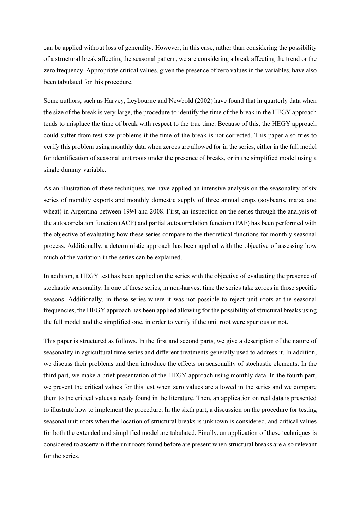can be applied without loss of generality. However, in this case, rather than considering the possibility of a structural break affecting the seasonal pattern, we are considering a break affecting the trend or the zero frequency. Appropriate critical values, given the presence of zero values in the variables, have also been tabulated for this procedure.

Some authors, such as Harvey, Leybourne and Newbold (2002) have found that in quarterly data when the size of the break is very large, the procedure to identify the time of the break in the HEGY approach tends to misplace the time of break with respect to the true time. Because of this, the HEGY approach could suffer from test size problems if the time of the break is not corrected. This paper also tries to verify this problem using monthly data when zeroes are allowed for in the series, either in the full model for identification of seasonal unit roots under the presence of breaks, or in the simplified model using a single dummy variable.

As an illustration of these techniques, we have applied an intensive analysis on the seasonality of six series of monthly exports and monthly domestic supply of three annual crops (soybeans, maize and wheat) in Argentina between 1994 and 2008. First, an inspection on the series through the analysis of the autocorrelation function (ACF) and partial autocorrelation function (PAF) has been performed with the objective of evaluating how these series compare to the theoretical functions for monthly seasonal process. Additionally, a deterministic approach has been applied with the objective of assessing how much of the variation in the series can be explained.

In addition, a HEGY test has been applied on the series with the objective of evaluating the presence of stochastic seasonality. In one of these series, in non-harvest time the series take zeroes in those specific seasons. Additionally, in those series where it was not possible to reject unit roots at the seasonal frequencies, the HEGY approach has been applied allowing for the possibility of structural breaks using the full model and the simplified one, in order to verify if the unit root were spurious or not.

This paper is structured as follows. In the first and second parts, we give a description of the nature of seasonality in agricultural time series and different treatments generally used to address it. In addition, we discuss their problems and then introduce the effects on seasonality of stochastic elements. In the third part, we make a brief presentation of the HEGY approach using monthly data. In the fourth part, we present the critical values for this test when zero values are allowed in the series and we compare them to the critical values already found in the literature. Then, an application on real data is presented to illustrate how to implement the procedure. In the sixth part, a discussion on the procedure for testing seasonal unit roots when the location of structural breaks is unknown is considered, and critical values for both the extended and simplified model are tabulated. Finally, an application of these techniques is considered to ascertain if the unit roots found before are present when structural breaks are also relevant for the series.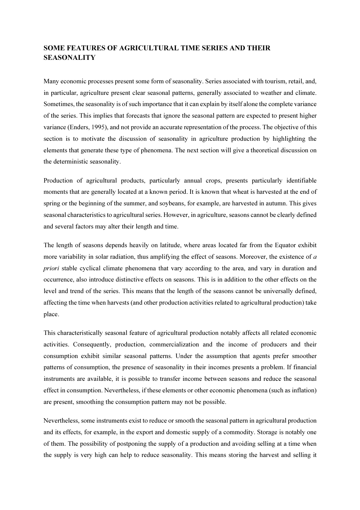# SOME FEATURES OF AGRICULTURAL TIME SERIES AND THEIR **SEASONALITY**

Many economic processes present some form of seasonality. Series associated with tourism, retail, and, in particular, agriculture present clear seasonal patterns, generally associated to weather and climate. Sometimes, the seasonality is of such importance that it can explain by itself alone the complete variance of the series. This implies that forecasts that ignore the seasonal pattern are expected to present higher variance (Enders, 1995), and not provide an accurate representation of the process. The objective of this section is to motivate the discussion of seasonality in agriculture production by highlighting the elements that generate these type of phenomena. The next section will give a theoretical discussion on the deterministic seasonality.

Production of agricultural products, particularly annual crops, presents particularly identifiable moments that are generally located at a known period. It is known that wheat is harvested at the end of spring or the beginning of the summer, and soybeans, for example, are harvested in autumn. This gives seasonal characteristics to agricultural series. However, in agriculture, seasons cannot be clearly defined and several factors may alter their length and time.

The length of seasons depends heavily on latitude, where areas located far from the Equator exhibit more variability in solar radiation, thus amplifying the effect of seasons. Moreover, the existence of a priori stable cyclical climate phenomena that vary according to the area, and vary in duration and occurrence, also introduce distinctive effects on seasons. This is in addition to the other effects on the level and trend of the series. This means that the length of the seasons cannot be universally defined, affecting the time when harvests (and other production activities related to agricultural production) take place.

This characteristically seasonal feature of agricultural production notably affects all related economic activities. Consequently, production, commercialization and the income of producers and their consumption exhibit similar seasonal patterns. Under the assumption that agents prefer smoother patterns of consumption, the presence of seasonality in their incomes presents a problem. If financial instruments are available, it is possible to transfer income between seasons and reduce the seasonal effect in consumption. Nevertheless, if these elements or other economic phenomena (such as inflation) are present, smoothing the consumption pattern may not be possible.

Nevertheless, some instruments exist to reduce or smooth the seasonal pattern in agricultural production and its effects, for example, in the export and domestic supply of a commodity. Storage is notably one of them. The possibility of postponing the supply of a production and avoiding selling at a time when the supply is very high can help to reduce seasonality. This means storing the harvest and selling it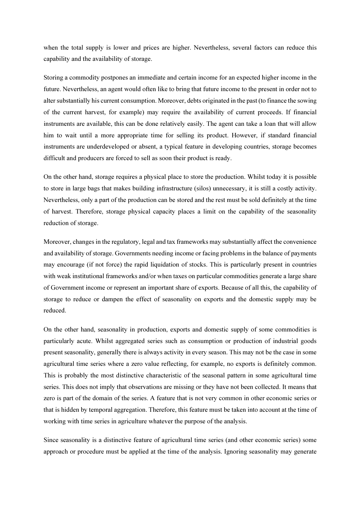when the total supply is lower and prices are higher. Nevertheless, several factors can reduce this capability and the availability of storage.

Storing a commodity postpones an immediate and certain income for an expected higher income in the future. Nevertheless, an agent would often like to bring that future income to the present in order not to alter substantially his current consumption. Moreover, debts originated in the past (to finance the sowing of the current harvest, for example) may require the availability of current proceeds. If financial instruments are available, this can be done relatively easily. The agent can take a loan that will allow him to wait until a more appropriate time for selling its product. However, if standard financial instruments are underdeveloped or absent, a typical feature in developing countries, storage becomes difficult and producers are forced to sell as soon their product is ready.

On the other hand, storage requires a physical place to store the production. Whilst today it is possible to store in large bags that makes building infrastructure (silos) unnecessary, it is still a costly activity. Nevertheless, only a part of the production can be stored and the rest must be sold definitely at the time of harvest. Therefore, storage physical capacity places a limit on the capability of the seasonality reduction of storage.

Moreover, changes in the regulatory, legal and tax frameworks may substantially affect the convenience and availability of storage. Governments needing income or facing problems in the balance of payments may encourage (if not force) the rapid liquidation of stocks. This is particularly present in countries with weak institutional frameworks and/or when taxes on particular commodities generate a large share of Government income or represent an important share of exports. Because of all this, the capability of storage to reduce or dampen the effect of seasonality on exports and the domestic supply may be reduced.

On the other hand, seasonality in production, exports and domestic supply of some commodities is particularly acute. Whilst aggregated series such as consumption or production of industrial goods present seasonality, generally there is always activity in every season. This may not be the case in some agricultural time series where a zero value reflecting, for example, no exports is definitely common. This is probably the most distinctive characteristic of the seasonal pattern in some agricultural time series. This does not imply that observations are missing or they have not been collected. It means that zero is part of the domain of the series. A feature that is not very common in other economic series or that is hidden by temporal aggregation. Therefore, this feature must be taken into account at the time of working with time series in agriculture whatever the purpose of the analysis.

Since seasonality is a distinctive feature of agricultural time series (and other economic series) some approach or procedure must be applied at the time of the analysis. Ignoring seasonality may generate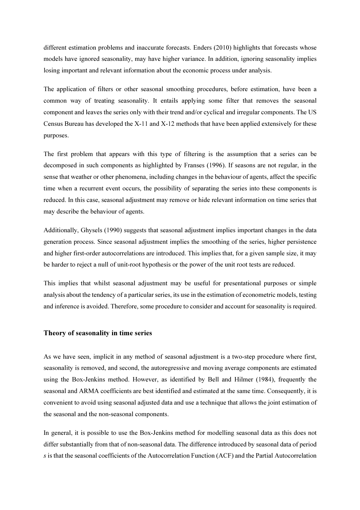different estimation problems and inaccurate forecasts. Enders (2010) highlights that forecasts whose models have ignored seasonality, may have higher variance. In addition, ignoring seasonality implies losing important and relevant information about the economic process under analysis.

The application of filters or other seasonal smoothing procedures, before estimation, have been a common way of treating seasonality. It entails applying some filter that removes the seasonal component and leaves the series only with their trend and/or cyclical and irregular components. The US Census Bureau has developed the X-11 and X-12 methods that have been applied extensively for these purposes.

The first problem that appears with this type of filtering is the assumption that a series can be decomposed in such components as highlighted by Franses (1996). If seasons are not regular, in the sense that weather or other phenomena, including changes in the behaviour of agents, affect the specific time when a recurrent event occurs, the possibility of separating the series into these components is reduced. In this case, seasonal adjustment may remove or hide relevant information on time series that may describe the behaviour of agents.

Additionally, Ghysels (1990) suggests that seasonal adjustment implies important changes in the data generation process. Since seasonal adjustment implies the smoothing of the series, higher persistence and higher first-order autocorrelations are introduced. This implies that, for a given sample size, it may be harder to reject a null of unit-root hypothesis or the power of the unit root tests are reduced.

This implies that whilst seasonal adjustment may be useful for presentational purposes or simple analysis about the tendency of a particular series, its use in the estimation of econometric models, testing and inference is avoided. Therefore, some procedure to consider and account for seasonality is required.

#### Theory of seasonality in time series

As we have seen, implicit in any method of seasonal adjustment is a two-step procedure where first, seasonality is removed, and second, the autoregressive and moving average components are estimated using the Box-Jenkins method. However, as identified by Bell and Hilmer (1984), frequently the seasonal and ARMA coefficients are best identified and estimated at the same time. Consequently, it is convenient to avoid using seasonal adjusted data and use a technique that allows the joint estimation of the seasonal and the non-seasonal components.

In general, it is possible to use the Box-Jenkins method for modelling seasonal data as this does not differ substantially from that of non-seasonal data. The difference introduced by seasonal data of period s is that the seasonal coefficients of the Autocorrelation Function (ACF) and the Partial Autocorrelation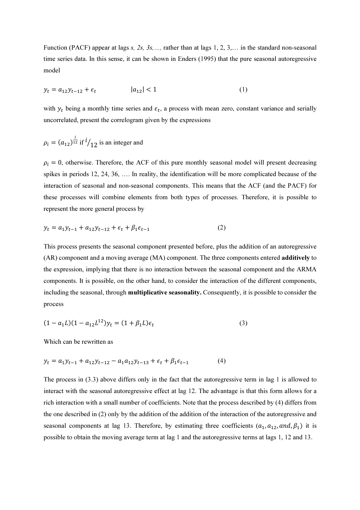Function (PACF) appear at lags s, 2s, 3s, ..., rather than at lags 1, 2, 3,... in the standard non-seasonal time series data. In this sense, it can be shown in Enders (1995) that the pure seasonal autoregressive model

$$
y_t = a_{12}y_{t-12} + \epsilon_t \qquad |a_{12}| < 1 \tag{1}
$$

with  $y_t$  being a monthly time series and  $\epsilon_t$ , a process with mean zero, constant variance and serially uncorrelated, present the correlogram given by the expressions

$$
\rho_i = (a_{12})^{\frac{i}{12}} \text{ if } i \text{/} 12 \text{ is an integer and}
$$

 $\rho_i = 0$ , otherwise. Therefore, the ACF of this pure monthly seasonal model will present decreasing spikes in periods 12, 24, 36, …. In reality, the identification will be more complicated because of the interaction of seasonal and non-seasonal components. This means that the ACF (and the PACF) for these processes will combine elements from both types of processes. Therefore, it is possible to represent the more general process by

$$
y_t = a_1 y_{t-1} + a_{12} y_{t-12} + \epsilon_t + \beta_1 \epsilon_{t-1}
$$
 (2)

This process presents the seasonal component presented before, plus the addition of an autoregressive (AR) component and a moving average (MA) component. The three components entered additively to the expression, implying that there is no interaction between the seasonal component and the ARMA components. It is possible, on the other hand, to consider the interaction of the different components, including the seasonal, through multiplicative seasonality. Consequently, it is possible to consider the process

$$
(1 - a_1 L)(1 - a_{12} L^{12})y_t = (1 + \beta_1 L)\epsilon_t
$$
\n(3)

Which can be rewritten as

$$
y_t = a_1 y_{t-1} + a_{12} y_{t-12} - a_1 a_{12} y_{t-13} + \epsilon_t + \beta_1 \epsilon_{t-1}
$$
 (4)

The process in (3.3) above differs only in the fact that the autoregressive term in lag 1 is allowed to interact with the seasonal autoregressive effect at lag 12. The advantage is that this form allows for a rich interaction with a small number of coefficients. Note that the process described by (4) differs from the one described in (2) only by the addition of the addition of the interaction of the autoregressive and seasonal components at lag 13. Therefore, by estimating three coefficients  $(a_1, a_{12}, and, \beta_1)$  it is possible to obtain the moving average term at lag 1 and the autoregressive terms at lags 1, 12 and 13.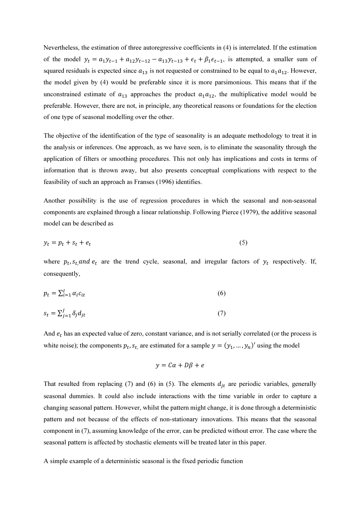Nevertheless, the estimation of three autoregressive coefficients in (4) is interrelated. If the estimation of the model  $y_t = a_1 y_{t-1} + a_{12} y_{t-12} - a_{13} y_{t-13} + \epsilon_t + \beta_1 \epsilon_{t-1}$ , is attempted, a smaller sum of squared residuals is expected since  $a_{13}$  is not requested or constrained to be equal to  $a_1a_{12}$ . However, the model given by (4) would be preferable since it is more parsimonious. This means that if the unconstrained estimate of  $a_{13}$  approaches the product  $a_1a_{12}$ , the multiplicative model would be preferable. However, there are not, in principle, any theoretical reasons or foundations for the election of one type of seasonal modelling over the other.

The objective of the identification of the type of seasonality is an adequate methodology to treat it in the analysis or inferences. One approach, as we have seen, is to eliminate the seasonality through the application of filters or smoothing procedures. This not only has implications and costs in terms of information that is thrown away, but also presents conceptual complications with respect to the feasibility of such an approach as Franses (1996) identifies.

Another possibility is the use of regression procedures in which the seasonal and non-seasonal components are explained through a linear relationship. Following Pierce (1979), the additive seasonal model can be described as

$$
y_t = p_t + s_t + e_t \tag{5}
$$

where  $p_t$ ,  $s_t$ , and  $e_t$  are the trend cycle, seasonal, and irregular factors of  $y_t$  respectively. If, consequently,

$$
p_t = \sum_{i=1}^l \alpha_i c_{it} \tag{6}
$$

$$
s_t = \sum_{j=1}^J \delta_j d_{jt} \tag{7}
$$

And  $e_t$  has an expected value of zero, constant variance, and is not serially correlated (or the process is white noise); the components  $p_t$ ,  $s_t$ , are estimated for a sample  $y = (y_1, ..., y_n)'$  using the model

$$
y = C\alpha + D\beta + e
$$

That resulted from replacing (7) and (6) in (5). The elements  $d_{it}$  are periodic variables, generally seasonal dummies. It could also include interactions with the time variable in order to capture a changing seasonal pattern. However, whilst the pattern might change, it is done through a deterministic pattern and not because of the effects of non-stationary innovations. This means that the seasonal component in (7), assuming knowledge of the error, can be predicted without error. The case where the seasonal pattern is affected by stochastic elements will be treated later in this paper.

A simple example of a deterministic seasonal is the fixed periodic function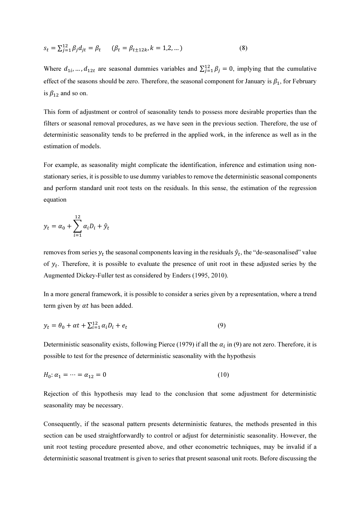$$
s_t = \sum_{j=1}^{12} \beta_j d_{jt} = \beta_t \qquad (\beta_t = \beta_{t \pm 12k}, k = 1, 2, ...)
$$
 (8)

Where  $d_{1i}$ , ...,  $d_{12t}$  are seasonal dummies variables and  $\sum_{j=1}^{12} \beta_j = 0$ , implying that the cumulative effect of the seasons should be zero. Therefore, the seasonal component for January is  $\beta_1$ , for February is  $\beta_{12}$  and so on.

This form of adjustment or control of seasonality tends to possess more desirable properties than the filters or seasonal removal procedures, as we have seen in the previous section. Therefore, the use of deterministic seasonality tends to be preferred in the applied work, in the inference as well as in the estimation of models.

For example, as seasonality might complicate the identification, inference and estimation using nonstationary series, it is possible to use dummy variables to remove the deterministic seasonal components and perform standard unit root tests on the residuals. In this sense, the estimation of the regression equation

$$
y_t = \alpha_0 + \sum_{i=1}^{12} \alpha_i D_i + \hat{y}_t
$$

removes from series  $y_t$  the seasonal components leaving in the residuals  $\hat{y}_t$ , the "de-seasonalised" value of  $y_t$ . Therefore, it is possible to evaluate the presence of unit root in these adjusted series by the Augmented Dickey-Fuller test as considered by Enders (1995, 2010).

In a more general framework, it is possible to consider a series given by a representation, where a trend term given by  $\alpha t$  has been added.

$$
y_t = \theta_0 + \alpha t + \sum_{i=1}^{12} \alpha_i D_i + e_t \tag{9}
$$

Deterministic seasonality exists, following Pierce (1979) if all the  $\alpha_i$  in (9) are not zero. Therefore, it is possible to test for the presence of deterministic seasonality with the hypothesis

$$
H_0: \alpha_1 = \dots = \alpha_{12} = 0 \tag{10}
$$

Rejection of this hypothesis may lead to the conclusion that some adjustment for deterministic seasonality may be necessary.

Consequently, if the seasonal pattern presents deterministic features, the methods presented in this section can be used straightforwardly to control or adjust for deterministic seasonality. However, the unit root testing procedure presented above, and other econometric techniques, may be invalid if a deterministic seasonal treatment is given to series that present seasonal unit roots. Before discussing the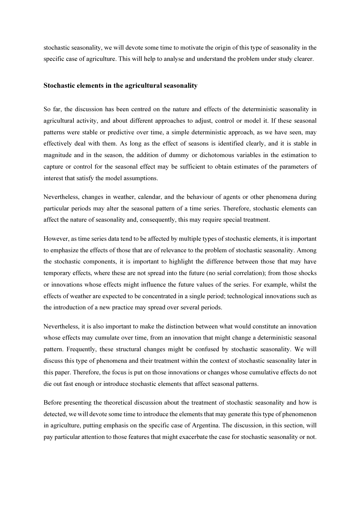stochastic seasonality, we will devote some time to motivate the origin of this type of seasonality in the specific case of agriculture. This will help to analyse and understand the problem under study clearer.

#### Stochastic elements in the agricultural seasonality

So far, the discussion has been centred on the nature and effects of the deterministic seasonality in agricultural activity, and about different approaches to adjust, control or model it. If these seasonal patterns were stable or predictive over time, a simple deterministic approach, as we have seen, may effectively deal with them. As long as the effect of seasons is identified clearly, and it is stable in magnitude and in the season, the addition of dummy or dichotomous variables in the estimation to capture or control for the seasonal effect may be sufficient to obtain estimates of the parameters of interest that satisfy the model assumptions.

Nevertheless, changes in weather, calendar, and the behaviour of agents or other phenomena during particular periods may alter the seasonal pattern of a time series. Therefore, stochastic elements can affect the nature of seasonality and, consequently, this may require special treatment.

However, as time series data tend to be affected by multiple types of stochastic elements, it is important to emphasize the effects of those that are of relevance to the problem of stochastic seasonality. Among the stochastic components, it is important to highlight the difference between those that may have temporary effects, where these are not spread into the future (no serial correlation); from those shocks or innovations whose effects might influence the future values of the series. For example, whilst the effects of weather are expected to be concentrated in a single period; technological innovations such as the introduction of a new practice may spread over several periods.

Nevertheless, it is also important to make the distinction between what would constitute an innovation whose effects may cumulate over time, from an innovation that might change a deterministic seasonal pattern. Frequently, these structural changes might be confused by stochastic seasonality. We will discuss this type of phenomena and their treatment within the context of stochastic seasonality later in this paper. Therefore, the focus is put on those innovations or changes whose cumulative effects do not die out fast enough or introduce stochastic elements that affect seasonal patterns.

Before presenting the theoretical discussion about the treatment of stochastic seasonality and how is detected, we will devote some time to introduce the elements that may generate this type of phenomenon in agriculture, putting emphasis on the specific case of Argentina. The discussion, in this section, will pay particular attention to those features that might exacerbate the case for stochastic seasonality or not.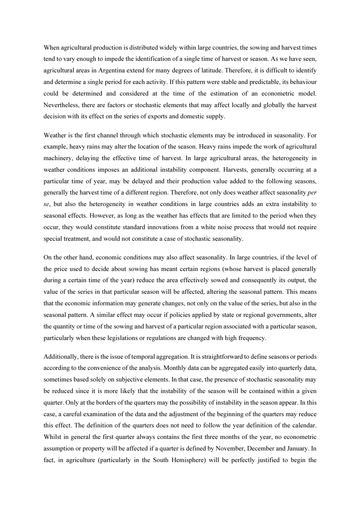When agricultural production is distributed widely within large countries, the sowing and harvest times tend to vary enough to impede the identification of a single time of harvest or season. As we have seen, agricultural areas in Argentina extend for many degrees of latitude. Therefore, it is difficult to identify and determine a single period for each activity. If this pattern were stable and predictable, its behaviour could be determined and considered at the time of the estimation of an econometric model. Nevertheless, there are factors or stochastic elements that may affect locally and globally the harvest decision with its effect on the series of exports and domestic supply.

Weather is the first channel through which stochastic elements may be introduced in seasonality. For example, heavy rains may alter the location of the season. Heavy rains impede the work of agricultural machinery, delaying the effective time of harvest. In large agricultural areas, the heterogeneity in weather conditions imposes an additional instability component. Harvests, generally occurring at a particular time of year, may be delayed and their production value added to the following seasons, generally the harvest time of a different region. Therefore, not only does weather affect seasonality per se, but also the heterogeneity in weather conditions in large countries adds an extra instability to seasonal effects. However, as long as the weather has effects that are limited to the period when they occur, they would constitute standard innovations from a white noise process that would not require special treatment, and would not constitute a case of stochastic seasonality.

On the other hand, economic conditions may also affect seasonality. In large countries, if the level of the price used to decide about sowing has meant certain regions (whose harvest is placed generally during a certain time of the year) reduce the area effectively sowed and consequently its output, the value of the series in that particular season will be affected, altering the seasonal pattern. This means that the economic information may generate changes, not only on the value of the series, but also in the seasonal pattern. A similar effect may occur if policies applied by state or regional governments, alter the quantity or time of the sowing and harvest of a particular region associated with a particular season, particularly when these legislations or regulations are changed with high frequency.

Additionally, there is the issue of temporal aggregation. It is straightforward to define seasons or periods according to the convenience of the analysis. Monthly data can be aggregated easily into quarterly data, sometimes based solely on subjective elements. In that case, the presence of stochastic seasonality may be reduced since it is more likely that the instability of the season will be contained within a given quarter. Only at the borders of the quarters may the possibility of instability in the season appear. In this case, a careful examination of the data and the adjustment of the beginning of the quarters may reduce this effect. The definition of the quarters does not need to follow the year definition of the calendar. Whilst in general the first quarter always contains the first three months of the year, no econometric assumption or property will be affected if a quarter is defined by November, December and January. In fact, in agriculture (particularly in the South Hemisphere) will be perfectly justified to begin the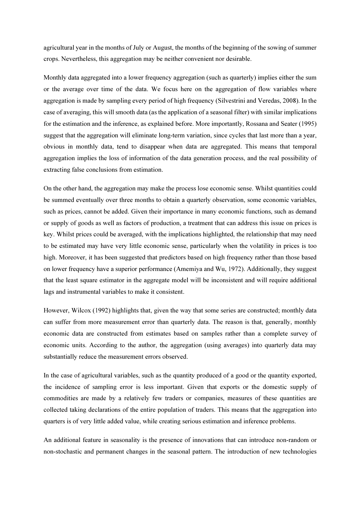agricultural year in the months of July or August, the months of the beginning of the sowing of summer crops. Nevertheless, this aggregation may be neither convenient nor desirable.

Monthly data aggregated into a lower frequency aggregation (such as quarterly) implies either the sum or the average over time of the data. We focus here on the aggregation of flow variables where aggregation is made by sampling every period of high frequency (Silvestrini and Veredas, 2008). In the case of averaging, this will smooth data (as the application of a seasonal filter) with similar implications for the estimation and the inference, as explained before. More importantly, Rossana and Seater (1995) suggest that the aggregation will eliminate long-term variation, since cycles that last more than a year, obvious in monthly data, tend to disappear when data are aggregated. This means that temporal aggregation implies the loss of information of the data generation process, and the real possibility of extracting false conclusions from estimation.

On the other hand, the aggregation may make the process lose economic sense. Whilst quantities could be summed eventually over three months to obtain a quarterly observation, some economic variables, such as prices, cannot be added. Given their importance in many economic functions, such as demand or supply of goods as well as factors of production, a treatment that can address this issue on prices is key. Whilst prices could be averaged, with the implications highlighted, the relationship that may need to be estimated may have very little economic sense, particularly when the volatility in prices is too high. Moreover, it has been suggested that predictors based on high frequency rather than those based on lower frequency have a superior performance (Amemiya and Wu, 1972). Additionally, they suggest that the least square estimator in the aggregate model will be inconsistent and will require additional lags and instrumental variables to make it consistent.

However, Wilcox (1992) highlights that, given the way that some series are constructed; monthly data can suffer from more measurement error than quarterly data. The reason is that, generally, monthly economic data are constructed from estimates based on samples rather than a complete survey of economic units. According to the author, the aggregation (using averages) into quarterly data may substantially reduce the measurement errors observed.

In the case of agricultural variables, such as the quantity produced of a good or the quantity exported, the incidence of sampling error is less important. Given that exports or the domestic supply of commodities are made by a relatively few traders or companies, measures of these quantities are collected taking declarations of the entire population of traders. This means that the aggregation into quarters is of very little added value, while creating serious estimation and inference problems.

An additional feature in seasonality is the presence of innovations that can introduce non-random or non-stochastic and permanent changes in the seasonal pattern. The introduction of new technologies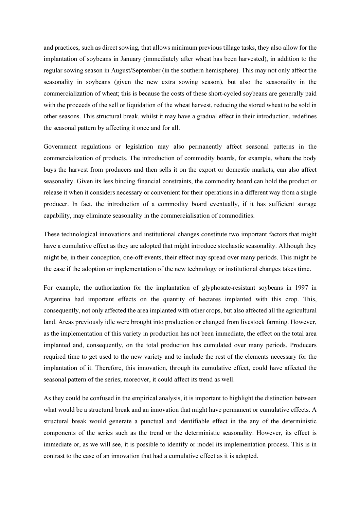and practices, such as direct sowing, that allows minimum previous tillage tasks, they also allow for the implantation of soybeans in January (immediately after wheat has been harvested), in addition to the regular sowing season in August/September (in the southern hemisphere). This may not only affect the seasonality in soybeans (given the new extra sowing season), but also the seasonality in the commercialization of wheat; this is because the costs of these short-cycled soybeans are generally paid with the proceeds of the sell or liquidation of the wheat harvest, reducing the stored wheat to be sold in other seasons. This structural break, whilst it may have a gradual effect in their introduction, redefines the seasonal pattern by affecting it once and for all.

Government regulations or legislation may also permanently affect seasonal patterns in the commercialization of products. The introduction of commodity boards, for example, where the body buys the harvest from producers and then sells it on the export or domestic markets, can also affect seasonality. Given its less binding financial constraints, the commodity board can hold the product or release it when it considers necessary or convenient for their operations in a different way from a single producer. In fact, the introduction of a commodity board eventually, if it has sufficient storage capability, may eliminate seasonality in the commercialisation of commodities.

These technological innovations and institutional changes constitute two important factors that might have a cumulative effect as they are adopted that might introduce stochastic seasonality. Although they might be, in their conception, one-off events, their effect may spread over many periods. This might be the case if the adoption or implementation of the new technology or institutional changes takes time.

For example, the authorization for the implantation of glyphosate-resistant soybeans in 1997 in Argentina had important effects on the quantity of hectares implanted with this crop. This, consequently, not only affected the area implanted with other crops, but also affected all the agricultural land. Areas previously idle were brought into production or changed from livestock farming. However, as the implementation of this variety in production has not been immediate, the effect on the total area implanted and, consequently, on the total production has cumulated over many periods. Producers required time to get used to the new variety and to include the rest of the elements necessary for the implantation of it. Therefore, this innovation, through its cumulative effect, could have affected the seasonal pattern of the series; moreover, it could affect its trend as well.

As they could be confused in the empirical analysis, it is important to highlight the distinction between what would be a structural break and an innovation that might have permanent or cumulative effects. A structural break would generate a punctual and identifiable effect in the any of the deterministic components of the series such as the trend or the deterministic seasonality. However, its effect is immediate or, as we will see, it is possible to identify or model its implementation process. This is in contrast to the case of an innovation that had a cumulative effect as it is adopted.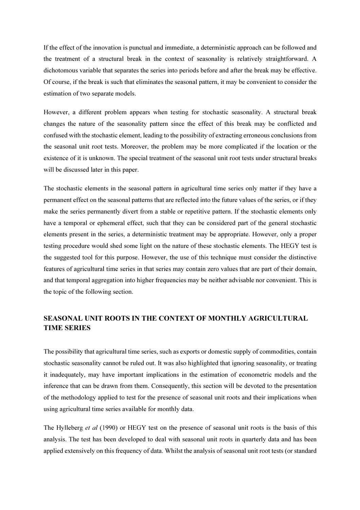If the effect of the innovation is punctual and immediate, a deterministic approach can be followed and the treatment of a structural break in the context of seasonality is relatively straightforward. A dichotomous variable that separates the series into periods before and after the break may be effective. Of course, if the break is such that eliminates the seasonal pattern, it may be convenient to consider the estimation of two separate models.

However, a different problem appears when testing for stochastic seasonality. A structural break changes the nature of the seasonality pattern since the effect of this break may be conflicted and confused with the stochastic element, leading to the possibility of extracting erroneous conclusions from the seasonal unit root tests. Moreover, the problem may be more complicated if the location or the existence of it is unknown. The special treatment of the seasonal unit root tests under structural breaks will be discussed later in this paper.

The stochastic elements in the seasonal pattern in agricultural time series only matter if they have a permanent effect on the seasonal patterns that are reflected into the future values of the series, or if they make the series permanently divert from a stable or repetitive pattern. If the stochastic elements only have a temporal or ephemeral effect, such that they can be considered part of the general stochastic elements present in the series, a deterministic treatment may be appropriate. However, only a proper testing procedure would shed some light on the nature of these stochastic elements. The HEGY test is the suggested tool for this purpose. However, the use of this technique must consider the distinctive features of agricultural time series in that series may contain zero values that are part of their domain, and that temporal aggregation into higher frequencies may be neither advisable nor convenient. This is the topic of the following section.

# SEASONAL UNIT ROOTS IN THE CONTEXT OF MONTHLY AGRICULTURAL TIME SERIES

The possibility that agricultural time series, such as exports or domestic supply of commodities, contain stochastic seasonality cannot be ruled out. It was also highlighted that ignoring seasonality, or treating it inadequately, may have important implications in the estimation of econometric models and the inference that can be drawn from them. Consequently, this section will be devoted to the presentation of the methodology applied to test for the presence of seasonal unit roots and their implications when using agricultural time series available for monthly data.

The Hylleberg et al (1990) or HEGY test on the presence of seasonal unit roots is the basis of this analysis. The test has been developed to deal with seasonal unit roots in quarterly data and has been applied extensively on this frequency of data. Whilst the analysis of seasonal unit root tests (or standard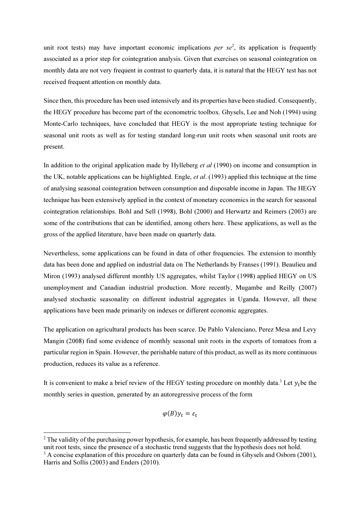unit root tests) may have important economic implications per  $se^2$ , its application is frequently associated as a prior step for cointegration analysis. Given that exercises on seasonal cointegration on monthly data are not very frequent in contrast to quarterly data, it is natural that the HEGY test has not received frequent attention on monthly data.

Since then, this procedure has been used intensively and its properties have been studied. Consequently, the HEGY procedure has become part of the econometric toolbox. Ghysels, Lee and Noh (1994) using Monte-Carlo techniques, have concluded that HEGY is the most appropriate testing technique for seasonal unit roots as well as for testing standard long-run unit roots when seasonal unit roots are present.

In addition to the original application made by Hylleberg et al (1990) on income and consumption in the UK, notable applications can be highlighted. Engle, et al. (1993) applied this technique at the time of analysing seasonal cointegration between consumption and disposable income in Japan. The HEGY technique has been extensively applied in the context of monetary economics in the search for seasonal cointegration relationships. Bohl and Sell (1998), Bohl (2000) and Herwartz and Reimers (2003) are some of the contributions that can be identified, among others here. These applications, as well as the gross of the applied literature, have been made on quarterly data.

Nevertheless, some applications can be found in data of other frequencies. The extension to monthly data has been done and applied on industrial data on The Netherlands by Franses (1991). Beaulieu and Miron (1993) analysed different monthly US aggregates, whilst Taylor (1998) applied HEGY on US unemployment and Canadian industrial production. More recently, Mugambe and Reilly (2007) analysed stochastic seasonality on different industrial aggregates in Uganda. However, all these applications have been made primarily on indexes or different economic aggregates.

The application on agricultural products has been scarce. De Pablo Valenciano, Perez Mesa and Levy Mangin (2008) find some evidence of monthly seasonal unit roots in the exports of tomatoes from a particular region in Spain. However, the perishable nature of this product, as well as its more continuous production, reduces its value as a reference.

It is convenient to make a brief review of the HEGY testing procedure on monthly data.<sup>3</sup> Let  $y_t$  be the monthly series in question, generated by an autoregressive process of the form

$$
\varphi(B)y_t=\varepsilon_t
$$

 $\overline{a}$ 

 $2$  The validity of the purchasing power hypothesis, for example, has been frequently addressed by testing unit root tests, since the presence of a stochastic trend suggests that the hypothesis does not hold.  $3$  A concise explanation of this procedure on quarterly data can be found in Ghysels and Osborn (2001),

Harris and Sollis (2003) and Enders (2010).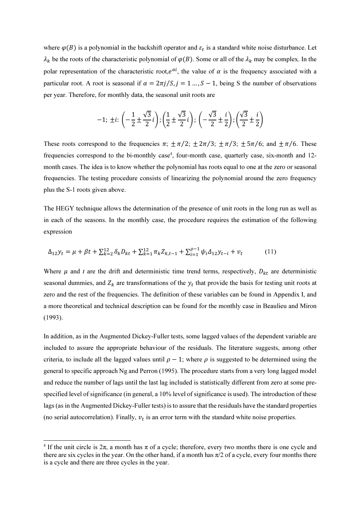where  $\varphi(B)$  is a polynomial in the backshift operator and  $\varepsilon_t$  is a standard white noise disturbance. Let  $\lambda_k$  be the roots of the characteristic polynomial of  $\varphi(B)$ . Some or all of the  $\lambda_k$  may be complex. In the polar representation of the characteristic root,  $e^{at}$ , the value of  $\alpha$  is the frequency associated with a particular root. A root is seasonal if  $\alpha = 2\pi i/S$ ,  $i = 1...$ ,  $S - 1$ , being S the number of observations per year. Therefore, for monthly data, the seasonal unit roots are

$$
-1; \pm i: \left(-\frac{1}{2} \pm \frac{\sqrt{3}}{2} i\right); \left(\frac{1}{2} \pm \frac{\sqrt{3}}{2} i\right); \left(-\frac{\sqrt{3}}{2} \pm \frac{i}{2}\right); \left(\frac{\sqrt{3}}{2} \pm \frac{i}{2}\right)
$$

These roots correspond to the frequencies  $\pi$ ;  $\pm \pi/2$ ;  $\pm 2\pi/3$ ;  $\pm \pi/3$ ;  $\pm 5\pi/6$ ; and  $\pm \pi/6$ . These frequencies correspond to the bi-monthly case<sup>4</sup>, four-month case, quarterly case, six-month and 12month cases. The idea is to know whether the polynomial has roots equal to one at the zero or seasonal frequencies. The testing procedure consists of linearizing the polynomial around the zero frequency plus the S-1 roots given above.

The HEGY technique allows the determination of the presence of unit roots in the long run as well as in each of the seasons. In the monthly case, the procedure requires the estimation of the following expression

$$
\Delta_{12} y_t = \mu + \beta t + \sum_{k=2}^{12} \delta_k D_{kt} + \sum_{k=1}^{12} \pi_k Z_{k,t-1} + \sum_{i=1}^{\rho-1} \psi_i \Delta_{12} y_{t-i} + v_t \tag{11}
$$

Where  $\mu$  and t are the drift and deterministic time trend terms, respectively,  $D_{kt}$  are deterministic seasonal dummies, and  $Z_k$  are transformations of the  $y_t$  that provide the basis for testing unit roots at zero and the rest of the frequencies. The definition of these variables can be found in Appendix I, and a more theoretical and technical description can be found for the monthly case in Beaulieu and Miron (1993).

In addition, as in the Augmented Dickey-Fuller tests, some lagged values of the dependent variable are included to assure the appropriate behaviour of the residuals. The literature suggests, among other criteria, to include all the lagged values until  $\rho - 1$ ; where  $\rho$  is suggested to be determined using the general to specific approach Ng and Perron (1995). The procedure starts from a very long lagged model and reduce the number of lags until the last lag included is statistically different from zero at some prespecified level of significance (in general, a 10% level of significance is used). The introduction of these lags (as in the Augmented Dickey-Fuller tests) is to assure that the residuals have the standard properties (no serial autocorrelation). Finally,  $v_t$  is an error term with the standard white noise properties.

 $\overline{a}$ 

<sup>&</sup>lt;sup>4</sup> If the unit circle is  $2\pi$ , a month has  $\pi$  of a cycle; therefore, every two months there is one cycle and there are six cycles in the year. On the other hand, if a month has  $\pi/2$  of a cycle, every four months there is a cycle and there are three cycles in the year.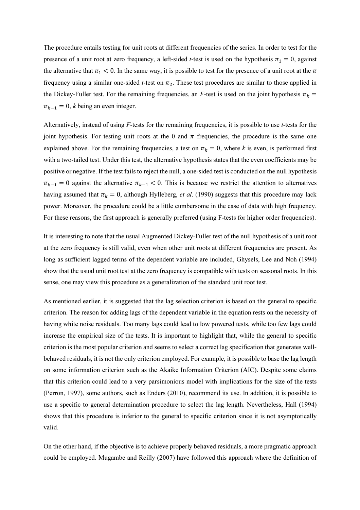The procedure entails testing for unit roots at different frequencies of the series. In order to test for the presence of a unit root at zero frequency, a left-sided *t*-test is used on the hypothesis  $\pi_1 = 0$ , against the alternative that  $\pi_1$  < 0. In the same way, it is possible to test for the presence of a unit root at the  $\pi$ frequency using a similar one-sided *t*-test on  $\pi_2$ . These test procedures are similar to those applied in the Dickey-Fuller test. For the remaining frequencies, an F-test is used on the joint hypothesis  $\pi_k$  =  $\pi_{k-1} = 0$ , *k* being an even integer.

Alternatively, instead of using  $F$ -tests for the remaining frequencies, it is possible to use  $t$ -tests for the joint hypothesis. For testing unit roots at the 0 and  $\pi$  frequencies, the procedure is the same one explained above. For the remaining frequencies, a test on  $\pi_k = 0$ , where k is even, is performed first with a two-tailed test. Under this test, the alternative hypothesis states that the even coefficients may be positive or negative. If the test fails to reject the null, a one-sided test is conducted on the null hypothesis  $\pi_{k-1} = 0$  against the alternative  $\pi_{k-1} < 0$ . This is because we restrict the attention to alternatives having assumed that  $\pi_k = 0$ , although Hylleberg, *et al.* (1990) suggests that this procedure may lack power. Moreover, the procedure could be a little cumbersome in the case of data with high frequency. For these reasons, the first approach is generally preferred (using F-tests for higher order frequencies).

It is interesting to note that the usual Augmented Dickey-Fuller test of the null hypothesis of a unit root at the zero frequency is still valid, even when other unit roots at different frequencies are present. As long as sufficient lagged terms of the dependent variable are included, Ghysels, Lee and Noh (1994) show that the usual unit root test at the zero frequency is compatible with tests on seasonal roots. In this sense, one may view this procedure as a generalization of the standard unit root test.

As mentioned earlier, it is suggested that the lag selection criterion is based on the general to specific criterion. The reason for adding lags of the dependent variable in the equation rests on the necessity of having white noise residuals. Too many lags could lead to low powered tests, while too few lags could increase the empirical size of the tests. It is important to highlight that, while the general to specific criterion is the most popular criterion and seems to select a correct lag specification that generates wellbehaved residuals, it is not the only criterion employed. For example, it is possible to base the lag length on some information criterion such as the Akaike Information Criterion (AIC). Despite some claims that this criterion could lead to a very parsimonious model with implications for the size of the tests (Perron, 1997), some authors, such as Enders (2010), recommend its use. In addition, it is possible to use a specific to general determination procedure to select the lag length. Nevertheless, Hall (1994) shows that this procedure is inferior to the general to specific criterion since it is not asymptotically valid.

On the other hand, if the objective is to achieve properly behaved residuals, a more pragmatic approach could be employed. Mugambe and Reilly (2007) have followed this approach where the definition of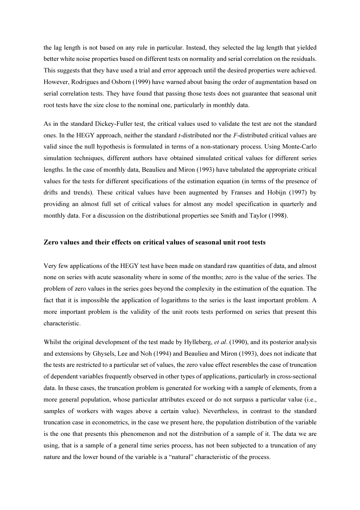the lag length is not based on any rule in particular. Instead, they selected the lag length that yielded better white noise properties based on different tests on normality and serial correlation on the residuals. This suggests that they have used a trial and error approach until the desired properties were achieved. However, Rodrigues and Osborn (1999) have warned about basing the order of augmentation based on serial correlation tests. They have found that passing those tests does not guarantee that seasonal unit root tests have the size close to the nominal one, particularly in monthly data.

As in the standard Dickey-Fuller test, the critical values used to validate the test are not the standard ones. In the HEGY approach, neither the standard *t*-distributed nor the  $F$ -distributed critical values are valid since the null hypothesis is formulated in terms of a non-stationary process. Using Monte-Carlo simulation techniques, different authors have obtained simulated critical values for different series lengths. In the case of monthly data, Beaulieu and Miron (1993) have tabulated the appropriate critical values for the tests for different specifications of the estimation equation (in terms of the presence of drifts and trends). These critical values have been augmented by Franses and Hobijn (1997) by providing an almost full set of critical values for almost any model specification in quarterly and monthly data. For a discussion on the distributional properties see Smith and Taylor (1998).

#### Zero values and their effects on critical values of seasonal unit root tests

Very few applications of the HEGY test have been made on standard raw quantities of data, and almost none on series with acute seasonality where in some of the months; zero is the value of the series. The problem of zero values in the series goes beyond the complexity in the estimation of the equation. The fact that it is impossible the application of logarithms to the series is the least important problem. A more important problem is the validity of the unit roots tests performed on series that present this characteristic.

Whilst the original development of the test made by Hylleberg, *et al.* (1990), and its posterior analysis and extensions by Ghysels, Lee and Noh (1994) and Beaulieu and Miron (1993), does not indicate that the tests are restricted to a particular set of values, the zero value effect resembles the case of truncation of dependent variables frequently observed in other types of applications, particularly in cross-sectional data. In these cases, the truncation problem is generated for working with a sample of elements, from a more general population, whose particular attributes exceed or do not surpass a particular value (i.e., samples of workers with wages above a certain value). Nevertheless, in contrast to the standard truncation case in econometrics, in the case we present here, the population distribution of the variable is the one that presents this phenomenon and not the distribution of a sample of it. The data we are using, that is a sample of a general time series process, has not been subjected to a truncation of any nature and the lower bound of the variable is a "natural" characteristic of the process.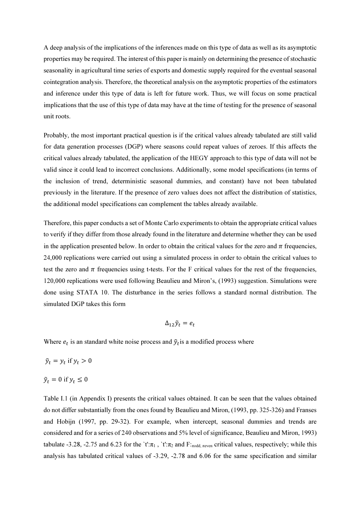A deep analysis of the implications of the inferences made on this type of data as well as its asymptotic properties may be required. The interest of this paper is mainly on determining the presence of stochastic seasonality in agricultural time series of exports and domestic supply required for the eventual seasonal cointegration analysis. Therefore, the theoretical analysis on the asymptotic properties of the estimators and inference under this type of data is left for future work. Thus, we will focus on some practical implications that the use of this type of data may have at the time of testing for the presence of seasonal unit roots.

Probably, the most important practical question is if the critical values already tabulated are still valid for data generation processes (DGP) where seasons could repeat values of zeroes. If this affects the critical values already tabulated, the application of the HEGY approach to this type of data will not be valid since it could lead to incorrect conclusions. Additionally, some model specifications (in terms of the inclusion of trend, deterministic seasonal dummies, and constant) have not been tabulated previously in the literature. If the presence of zero values does not affect the distribution of statistics, the additional model specifications can complement the tables already available.

Therefore, this paper conducts a set of Monte Carlo experiments to obtain the appropriate critical values to verify if they differ from those already found in the literature and determine whether they can be used in the application presented below. In order to obtain the critical values for the zero and  $\pi$  frequencies, 24,000 replications were carried out using a simulated process in order to obtain the critical values to test the zero and  $\pi$  frequencies using t-tests. For the F critical values for the rest of the frequencies, 120,000 replications were used following Beaulieu and Miron's, (1993) suggestion. Simulations were done using STATA 10. The disturbance in the series follows a standard normal distribution. The simulated DGP takes this form

$$
\Delta_{12}\tilde{y}_t = e_t
$$

Where  $e_t$  is an standard white noise process and  $\tilde{y}_t$  is a modified process where

 $\tilde{y}_t = y_t$  if  $y_t > 0$ 

 $\tilde{y}_t = 0$  if  $y_t \leq 0$ 

Table I.1 (in Appendix I) presents the critical values obtained. It can be seen that the values obtained do not differ substantially from the ones found by Beaulieu and Miron, (1993, pp. 325-326) and Franses and Hobijn (1997, pp. 29-32). For example, when intercept, seasonal dummies and trends are considered and for a series of 240 observations and 5% level of significance, Beaulieu and Miron, 1993) tabulate -3.28, -2.75 and 6.23 for the `t': $\pi_1$ , `t': $\pi_2$  and F:<sub>πodd, πeven</sub> critical values, respectively; while this analysis has tabulated critical values of -3.29, -2.78 and 6.06 for the same specification and similar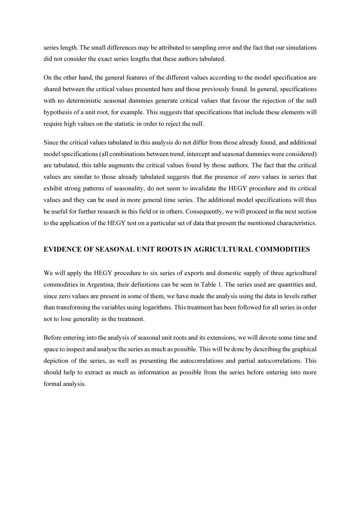series length.The small differences may be attributed to sampling error and the fact that our simulations did not consider the exact series lengths that these authors tabulated.

On the other hand, the general features of the different values according to the model specification are shared between the critical values presented here and those previously found. In general, specifications with no deterministic seasonal dummies generate critical values that favour the rejection of the null hypothesis of a unit root, for example. This suggests that specifications that include these elements will require high values on the statistic in order to reject the null.

Since the critical values tabulated in this analysis do not differ from those already found, and additional model specifications (all combinations between trend, intercept and seasonal dummies were considered) are tabulated, this table augments the critical values found by those authors. The fact that the critical values are similar to those already tabulated suggests that the presence of zero values in series that exhibit strong patterns of seasonality, do not seem to invalidate the HEGY procedure and its critical values and they can be used in more general time series. The additional model specifications will thus be useful for further research in this field or in others. Consequently, we will proceed in the next section to the application of the HEGY test on a particular set of data that present the mentioned characteristics.

## EVIDENCE OF SEASONAL UNIT ROOTS IN AGRICULTURAL COMMODITIES

We will apply the HEGY procedure to six series of exports and domestic supply of three agricultural commodities in Argentina; their definitions can be seen in Table 1. The series used are quantities and, since zero values are present in some of them, we have made the analysis using the data in levels rather than transforming the variables using logarithms. This treatment has been followed for all series in order not to lose generality in the treatment.

Before entering into the analysis of seasonal unit roots and its extensions, we will devote some time and space to inspect and analyse the series as much as possible. This will be done by describing the graphical depiction of the series, as well as presenting the autocorrelations and partial autocorrelations. This should help to extract as much as information as possible from the series before entering into more formal analysis.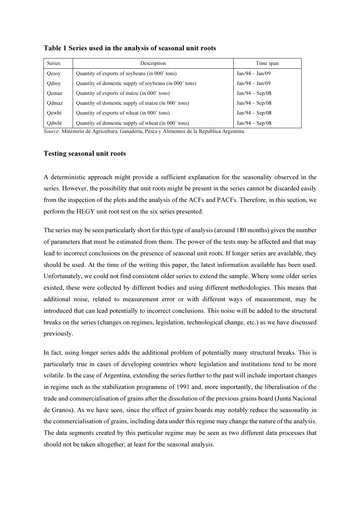| <b>Series</b> | Description                                            | Time span         |
|---------------|--------------------------------------------------------|-------------------|
| Qesoy         | Quantity of exports of soybeans (in 000' tons)         | $Jan/94 - Jan/09$ |
| Qdsoy         | Quantity of domestic supply of soybeans (in 000' tons) | $Jan/94 - Jan/09$ |
| Oemaz         | Quantity of exports of maize (in 000' tons)            | $Jan/94 - Sep/08$ |
| Odmaz         | Quantity of domestic supply of maize (in 000' tons)    | $Jan/94 - Sep/08$ |
| Oewht         | Quantity of exports of wheat (in 000' tons)            | $Jan/94 - Sep/08$ |
| Qdwht         | Quantity of domestic supply of wheat (in 000' tons)    | $Jan/94 - Sep/08$ |

Table 1 Series used in the analysis of seasonal unit roots

Source: Ministerio de Agricultura, Ganadería, Pesca y Alimentos de la Republica Argentina.

#### Testing seasonal unit roots

A deterministic approach might provide a sufficient explanation for the seasonality observed in the series. However, the possibility that unit roots might be present in the series cannot be discarded easily from the inspection of the plots and the analysis of the ACFs and PACFs. Therefore, in this section, we perform the HEGY unit root test on the six series presented.

The series may be seen particularly short for this type of analysis (around 180 months) given the number of parameters that must be estimated from them. The power of the tests may be affected and that may lead to incorrect conclusions on the presence of seasonal unit roots. If longer series are available, they should be used. At the time of the writing this paper, the latest information available has been used. Unfortunately, we could not find consistent older series to extend the sample. Where some older series existed, these were collected by different bodies and using different methodologies. This means that additional noise, related to measurement error or with different ways of measurement, may be introduced that can lead potentially to incorrect conclusions. This noise will be added to the structural breaks on the series (changes on regimes, legislation, technological change, etc.) as we have discussed previously.

In fact, using longer series adds the additional problem of potentially many structural breaks. This is particularly true in cases of developing countries where legislation and institutions tend to be more volatile. In the case of Argentina, extending the series further to the past will include important changes in regime such as the stabilization programme of 1991 and, more importantly, the liberalisation of the trade and commercialisation of grains after the dissolution of the previous grains board (Junta Nacional de Granos). As we have seen, since the effect of grains boards may notably reduce the seasonality in the commercialisation of grains, including data under this regime may change the nature of the analysis. The data segments created by this particular regime may be seen as two different data processes that should not be taken altogether; at least for the seasonal analysis.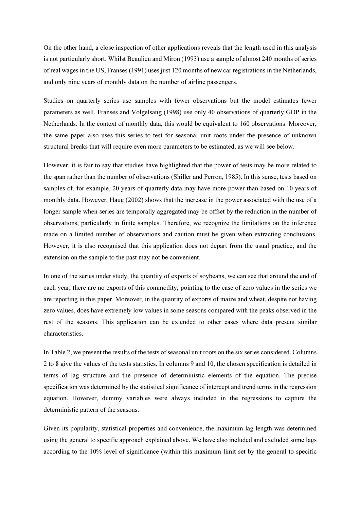On the other hand, a close inspection of other applications reveals that the length used in this analysis is not particularly short. Whilst Beaulieu and Miron (1993) use a sample of almost 240 months of series of real wages in the US, Franses (1991) uses just 120 months of new car registrations in the Netherlands, and only nine years of monthly data on the number of airline passengers.

Studies on quarterly series use samples with fewer observations but the model estimates fewer parameters as well. Franses and Volgelsang (1998) use only 40 observations of quarterly GDP in the Netherlands. In the context of monthly data, this would be equivalent to 160 observations. Moreover, the same paper also uses this series to test for seasonal unit roots under the presence of unknown structural breaks that will require even more parameters to be estimated, as we will see below.

However, it is fair to say that studies have highlighted that the power of tests may be more related to the span rather than the number of observations (Shiller and Perron, 1985). In this sense, tests based on samples of, for example, 20 years of quarterly data may have more power than based on 10 years of monthly data. However, Haug (2002) shows that the increase in the power associated with the use of a longer sample when series are temporally aggregated may be offset by the reduction in the number of observations, particularly in finite samples. Therefore, we recognize the limitations on the inference made on a limited number of observations and caution must be given when extracting conclusions. However, it is also recognised that this application does not depart from the usual practice, and the extension on the sample to the past may not be convenient.

In one of the series under study, the quantity of exports of soybeans, we can see that around the end of each year, there are no exports of this commodity, pointing to the case of zero values in the series we are reporting in this paper. Moreover, in the quantity of exports of maize and wheat, despite not having zero values, does have extremely low values in some seasons compared with the peaks observed in the rest of the seasons. This application can be extended to other cases where data present similar characteristics.

In Table 2, we present the results of the tests of seasonal unit roots on the six series considered. Columns 2 to 8 give the values of the tests statistics. In columns 9 and 10, the chosen specification is detailed in terms of lag structure and the presence of deterministic elements of the equation. The precise specification was determined by the statistical significance of intercept and trend terms in the regression equation. However, dummy variables were always included in the regressions to capture the deterministic pattern of the seasons.

Given its popularity, statistical properties and convenience, the maximum lag length was determined using the general to specific approach explained above. We have also included and excluded some lags according to the 10% level of significance (within this maximum limit set by the general to specific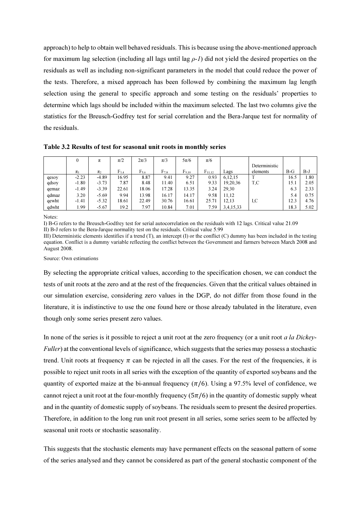approach) to help to obtain well behaved residuals. This is because using the above-mentioned approach for maximum lag selection (including all lags until lag  $\rho$ -*I*) did not yield the desired properties on the residuals as well as including non-significant parameters in the model that could reduce the power of the tests. Therefore, a mixed approach has been followed by combining the maximum lag length selection using the general to specific approach and some testing on the residuals' properties to determine which lags should be included within the maximum selected. The last two columns give the statistics for the Breusch-Godfrey test for serial correlation and the Bera-Jarque test for normality of the residuals.

Table 3.2 Results of test for seasonal unit roots in monthly series

|       | $\theta$ | π       | $\pi/2$   | $2\pi/3$  | $\pi/3$   | $5\pi/6$   | $\pi/6$     |             |               |       |      |
|-------|----------|---------|-----------|-----------|-----------|------------|-------------|-------------|---------------|-------|------|
|       |          |         |           |           |           |            |             |             | Deterministic |       |      |
|       | $\pi_1$  | $\pi$   | $F_{3,4}$ | $F_{5.6}$ | $F_{7,8}$ | $F_{9.10}$ | $F_{11.12}$ | Lags        | elements      | $B-G$ | B-J  |
| qesoy | $-2.23$  | $-4.89$ | 16.95     | 8.87      | 9.41      | 9.27       | 0.93        | 6,12,15     |               | 16.5  | 1.80 |
| qdsoy | $-1.80$  | $-3.73$ | 7.87      | 8.48      | 11.40     | 6.51       | 9.33        | 19,20,36    | T,C           | 15.1  | 2.05 |
| qemaz | $-1.49$  | $-3.39$ | 22.61     | 18.06     | 17.28     | 13.35      | 3.24        | 29.30       |               | 6.3   | 2.33 |
| qdmaz | 3.20     | $-5.69$ | 9.94      | 13.98     | 16.17     | 14.17      | 9.58        | 11.12       |               | 5.4   | 0.75 |
| qewht | $-1.41$  | $-5.32$ | 18.61     | 22.49     | 30.76     | 16.61      | 25.71       | 12,13       | I.C           | 12.3  | 4.76 |
| qdwht | . 99     | $-5.67$ | 19.2      | 7.97      | 10.84     | 7.01       | 7.59        | 3.4, 15, 33 |               | 18.3  | 5.02 |

Notes:

I) B-G refers to the Breusch-Godfrey test for serial autocorrelation on the residuals with 12 lags. Critical value 21.09 II) B-J refers to the Bera-Jarque normality test on the residuals. Critical value 5.99

III) Deterministic elements identifies if a trend  $(T)$ , an intercept  $(T)$  or the conflict  $(C)$  dummy has been included in the testing equation. Conflict is a dummy variable reflecting the conflict between the Government and farmers between March 2008 and August 2008.

Source: Own estimations

By selecting the appropriate critical values, according to the specification chosen, we can conduct the tests of unit roots at the zero and at the rest of the frequencies. Given that the critical values obtained in our simulation exercise, considering zero values in the DGP, do not differ from those found in the literature, it is indistinctive to use the one found here or those already tabulated in the literature, even though only some series present zero values.

In none of the series is it possible to reject a unit root at the zero frequency (or a unit root *a la Dickey-*Fuller) at the conventional levels of significance, which suggests that the series may possess a stochastic trend. Unit roots at frequency  $\pi$  can be rejected in all the cases. For the rest of the frequencies, it is possible to reject unit roots in all series with the exception of the quantity of exported soybeans and the quantity of exported maize at the bi-annual frequency  $(\pi/6)$ . Using a 97.5% level of confidence, we cannot reject a unit root at the four-monthly frequency  $(5\pi/6)$  in the quantity of domestic supply wheat and in the quantity of domestic supply of soybeans. The residuals seem to present the desired properties. Therefore, in addition to the long run unit root present in all series, some series seem to be affected by seasonal unit roots or stochastic seasonality.

This suggests that the stochastic elements may have permanent effects on the seasonal pattern of some of the series analysed and they cannot be considered as part of the general stochastic component of the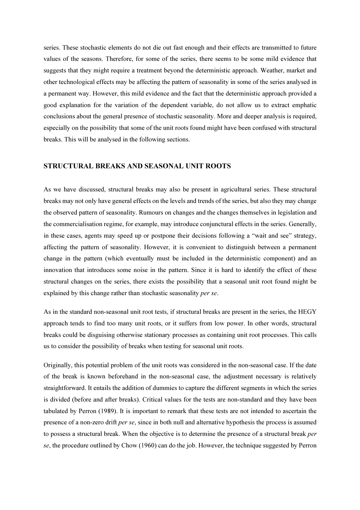series. These stochastic elements do not die out fast enough and their effects are transmitted to future values of the seasons. Therefore, for some of the series, there seems to be some mild evidence that suggests that they might require a treatment beyond the deterministic approach. Weather, market and other technological effects may be affecting the pattern of seasonality in some of the series analysed in a permanent way. However, this mild evidence and the fact that the deterministic approach provided a good explanation for the variation of the dependent variable, do not allow us to extract emphatic conclusions about the general presence of stochastic seasonality. More and deeper analysis is required, especially on the possibility that some of the unit roots found might have been confused with structural breaks. This will be analysed in the following sections.

## STRUCTURAL BREAKS AND SEASONAL UNIT ROOTS

As we have discussed, structural breaks may also be present in agricultural series. These structural breaks may not only have general effects on the levels and trends of the series, but also they may change the observed pattern of seasonality. Rumours on changes and the changes themselves in legislation and the commercialisation regime, for example, may introduce conjunctural effects in the series. Generally, in these cases, agents may speed up or postpone their decisions following a "wait and see" strategy, affecting the pattern of seasonality. However, it is convenient to distinguish between a permanent change in the pattern (which eventually must be included in the deterministic component) and an innovation that introduces some noise in the pattern. Since it is hard to identify the effect of these structural changes on the series, there exists the possibility that a seasonal unit root found might be explained by this change rather than stochastic seasonality per se.

As in the standard non-seasonal unit root tests, if structural breaks are present in the series, the HEGY approach tends to find too many unit roots, or it suffers from low power. In other words, structural breaks could be disguising otherwise stationary processes as containing unit root processes. This calls us to consider the possibility of breaks when testing for seasonal unit roots.

Originally, this potential problem of the unit roots was considered in the non-seasonal case. If the date of the break is known beforehand in the non-seasonal case, the adjustment necessary is relatively straightforward. It entails the addition of dummies to capture the different segments in which the series is divided (before and after breaks). Critical values for the tests are non-standard and they have been tabulated by Perron (1989). It is important to remark that these tests are not intended to ascertain the presence of a non-zero drift per se, since in both null and alternative hypothesis the process is assumed to possess a structural break. When the objective is to determine the presence of a structural break per se, the procedure outlined by Chow (1960) can do the job. However, the technique suggested by Perron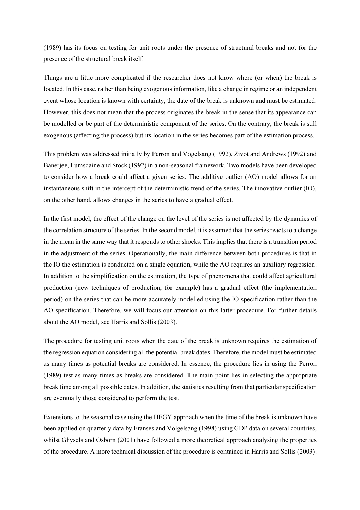(1989) has its focus on testing for unit roots under the presence of structural breaks and not for the presence of the structural break itself.

Things are a little more complicated if the researcher does not know where (or when) the break is located. In this case, rather than being exogenous information, like a change in regime or an independent event whose location is known with certainty, the date of the break is unknown and must be estimated. However, this does not mean that the process originates the break in the sense that its appearance can be modelled or be part of the deterministic component of the series. On the contrary, the break is still exogenous (affecting the process) but its location in the series becomes part of the estimation process.

This problem was addressed initially by Perron and Vogelsang (1992), Zivot and Andrews (1992) and Banerjee, Lumsdaine and Stock (1992) in a non-seasonal framework. Two models have been developed to consider how a break could affect a given series. The additive outlier (AO) model allows for an instantaneous shift in the intercept of the deterministic trend of the series. The innovative outlier (IO), on the other hand, allows changes in the series to have a gradual effect.

In the first model, the effect of the change on the level of the series is not affected by the dynamics of the correlation structure of the series. In the second model, it is assumed that the series reacts to a change in the mean in the same way that it responds to other shocks. This implies that there is a transition period in the adjustment of the series. Operationally, the main difference between both procedures is that in the IO the estimation is conducted on a single equation, while the AO requires an auxiliary regression. In addition to the simplification on the estimation, the type of phenomena that could affect agricultural production (new techniques of production, for example) has a gradual effect (the implementation period) on the series that can be more accurately modelled using the IO specification rather than the AO specification. Therefore, we will focus our attention on this latter procedure. For further details about the AO model, see Harris and Sollis (2003).

The procedure for testing unit roots when the date of the break is unknown requires the estimation of the regression equation considering all the potential break dates. Therefore, the model must be estimated as many times as potential breaks are considered. In essence, the procedure lies in using the Perron (1989) test as many times as breaks are considered. The main point lies in selecting the appropriate break time among all possible dates. In addition, the statistics resulting from that particular specification are eventually those considered to perform the test.

Extensions to the seasonal case using the HEGY approach when the time of the break is unknown have been applied on quarterly data by Franses and Volgelsang (1998) using GDP data on several countries, whilst Ghysels and Osborn (2001) have followed a more theoretical approach analysing the properties of the procedure. A more technical discussion of the procedure is contained in Harris and Sollis (2003).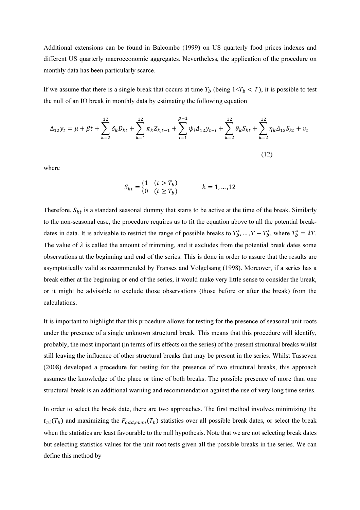Additional extensions can be found in Balcombe (1999) on US quarterly food prices indexes and different US quarterly macroeconomic aggregates. Nevertheless, the application of the procedure on monthly data has been particularly scarce.

If we assume that there is a single break that occurs at time  $T_b$  (being  $1 \le T_b \le T$ ), it is possible to test the null of an IO break in monthly data by estimating the following equation

$$
\Delta_{12} y_t = \mu + \beta t + \sum_{k=2}^{12} \delta_k D_{kt} + \sum_{k=1}^{12} \pi_k Z_{k,t-1} + \sum_{i=1}^{\rho-1} \psi_i \Delta_{12} y_{t-i} + \sum_{k=2}^{12} \theta_k S_{kt} + \sum_{k=2}^{12} \eta_k \Delta_{12} S_{kt} + v_t
$$
\n(12)

where

$$
S_{kt} = \begin{cases} 1 & (t > T_b) \\ 0 & (t \ge T_b) \end{cases} \qquad k = 1, ..., 12
$$

Therefore,  $S_{kt}$  is a standard seasonal dummy that starts to be active at the time of the break. Similarly to the non-seasonal case, the procedure requires us to fit the equation above to all the potential breakdates in data. It is advisable to restrict the range of possible breaks to  $T_b^*$ , ...,  $T - T_b^*$ , where  $T_b^* = \lambda T$ . The value of  $\lambda$  is called the amount of trimming, and it excludes from the potential break dates some observations at the beginning and end of the series. This is done in order to assure that the results are asymptotically valid as recommended by Franses and Volgelsang (1998). Moreover, if a series has a break either at the beginning or end of the series, it would make very little sense to consider the break, or it might be advisable to exclude those observations (those before or after the break) from the calculations.

It is important to highlight that this procedure allows for testing for the presence of seasonal unit roots under the presence of a single unknown structural break. This means that this procedure will identify, probably, the most important (in terms of its effects on the series) of the present structural breaks whilst still leaving the influence of other structural breaks that may be present in the series. Whilst Tasseven (2008) developed a procedure for testing for the presence of two structural breaks, this approach assumes the knowledge of the place or time of both breaks. The possible presence of more than one structural break is an additional warning and recommendation against the use of very long time series.

In order to select the break date, there are two approaches. The first method involves minimizing the  $t_{\pi i}(T_b)$  and maximizing the  $F_{odd,even}(T_b)$  statistics over all possible break dates, or select the break when the statistics are least favourable to the null hypothesis. Note that we are not selecting break dates but selecting statistics values for the unit root tests given all the possible breaks in the series. We can define this method by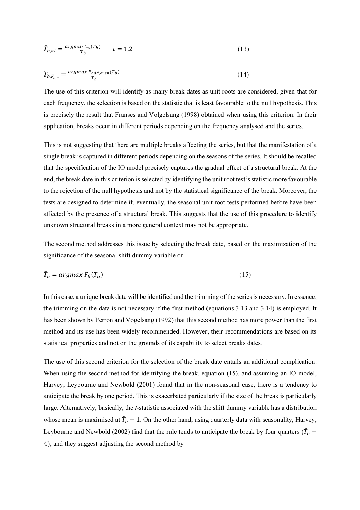$$
\hat{T}_{b,\pi i} = \frac{\operatorname{argmin} t_{\pi i}(T_b)}{T_b} \qquad i = 1,2 \tag{13}
$$

$$
\hat{T}_{b,F_{0,e}} = \frac{\operatorname{argmax} F_{odd,even}(T_b)}{T_b} \tag{14}
$$

The use of this criterion will identify as many break dates as unit roots are considered, given that for each frequency, the selection is based on the statistic that is least favourable to the null hypothesis. This is precisely the result that Franses and Volgelsang (1998) obtained when using this criterion. In their application, breaks occur in different periods depending on the frequency analysed and the series.

This is not suggesting that there are multiple breaks affecting the series, but that the manifestation of a single break is captured in different periods depending on the seasons of the series. It should be recalled that the specification of the IO model precisely captures the gradual effect of a structural break. At the end, the break date in this criterion is selected by identifying the unit root test's statistic more favourable to the rejection of the null hypothesis and not by the statistical significance of the break. Moreover, the tests are designed to determine if, eventually, the seasonal unit root tests performed before have been affected by the presence of a structural break. This suggests that the use of this procedure to identify unknown structural breaks in a more general context may not be appropriate.

The second method addresses this issue by selecting the break date, based on the maximization of the significance of the seasonal shift dummy variable or

$$
\hat{T}_b = \operatorname{argmax} F_\theta(T_b) \tag{15}
$$

In this case, a unique break date will be identified and the trimming of the series is necessary. In essence, the trimming on the data is not necessary if the first method (equations 3.13 and 3.14) is employed. It has been shown by Perron and Vogelsang (1992) that this second method has more power than the first method and its use has been widely recommended. However, their recommendations are based on its statistical properties and not on the grounds of its capability to select breaks dates.

The use of this second criterion for the selection of the break date entails an additional complication. When using the second method for identifying the break, equation (15), and assuming an IO model, Harvey, Leybourne and Newbold (2001) found that in the non-seasonal case, there is a tendency to anticipate the break by one period. This is exacerbated particularly if the size of the break is particularly large. Alternatively, basically, the *t*-statistic associated with the shift dummy variable has a distribution whose mean is maximised at  $\hat{T}_b - 1$ . On the other hand, using quarterly data with seasonality, Harvey, Leybourne and Newbold (2002) find that the rule tends to anticipate the break by four quarters ( $\hat{T}_b$  – 4), and they suggest adjusting the second method by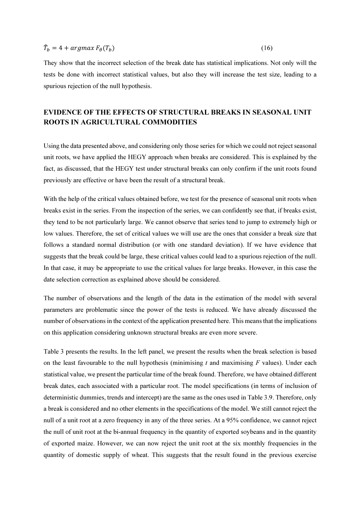# $\widehat{T}_b = 4 + argmax F_\theta(T_b)$

They show that the incorrect selection of the break date has statistical implications. Not only will the tests be done with incorrect statistical values, but also they will increase the test size, leading to a spurious rejection of the null hypothesis.

# EVIDENCE OF THE EFFECTS OF STRUCTURAL BREAKS IN SEASONAL UNIT ROOTS IN AGRICULTURAL COMMODITIES

Using the data presented above, and considering only those series for which we could not reject seasonal unit roots, we have applied the HEGY approach when breaks are considered. This is explained by the fact, as discussed, that the HEGY test under structural breaks can only confirm if the unit roots found previously are effective or have been the result of a structural break.

With the help of the critical values obtained before, we test for the presence of seasonal unit roots when breaks exist in the series. From the inspection of the series, we can confidently see that, if breaks exist, they tend to be not particularly large. We cannot observe that series tend to jump to extremely high or low values. Therefore, the set of critical values we will use are the ones that consider a break size that follows a standard normal distribution (or with one standard deviation). If we have evidence that suggests that the break could be large, these critical values could lead to a spurious rejection of the null. In that case, it may be appropriate to use the critical values for large breaks. However, in this case the date selection correction as explained above should be considered.

The number of observations and the length of the data in the estimation of the model with several parameters are problematic since the power of the tests is reduced. We have already discussed the number of observations in the context of the application presented here. This means that the implications on this application considering unknown structural breaks are even more severe.

Table 3 presents the results. In the left panel, we present the results when the break selection is based on the least favourable to the null hypothesis (minimising t and maximising F values). Under each statistical value, we present the particular time of the break found. Therefore, we have obtained different break dates, each associated with a particular root. The model specifications (in terms of inclusion of deterministic dummies, trends and intercept) are the same as the ones used in Table 3.9. Therefore, only a break is considered and no other elements in the specifications of the model. We still cannot reject the null of a unit root at a zero frequency in any of the three series. At a 95% confidence, we cannot reject the null of unit root at the bi-annual frequency in the quantity of exported soybeans and in the quantity of exported maize. However, we can now reject the unit root at the six monthly frequencies in the quantity of domestic supply of wheat. This suggests that the result found in the previous exercise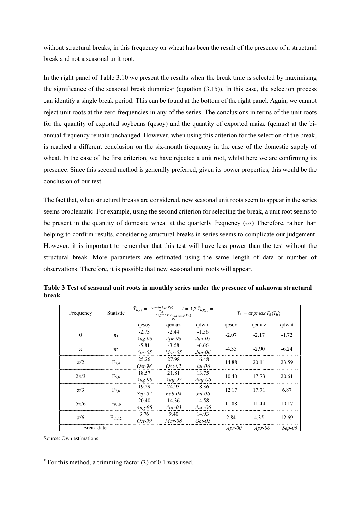without structural breaks, in this frequency on wheat has been the result of the presence of a structural break and not a seasonal unit root.

In the right panel of Table 3.10 we present the results when the break time is selected by maximising the significance of the seasonal break dummies<sup>5</sup> (equation  $(3.15)$ ). In this case, the selection process can identify a single break period. This can be found at the bottom of the right panel. Again, we cannot reject unit roots at the zero frequencies in any of the series. The conclusions in terms of the unit roots for the quantity of exported soybeans (qesoy) and the quantity of exported maize (qemaz) at the biannual frequency remain unchanged. However, when using this criterion for the selection of the break, is reached a different conclusion on the six-month frequency in the case of the domestic supply of wheat. In the case of the first criterion, we have rejected a unit root, whilst here we are confirming its presence. Since this second method is generally preferred, given its power properties, this would be the conclusion of our test.

The fact that, when structural breaks are considered, new seasonal unit roots seem to appear in the series seems problematic. For example, using the second criterion for selecting the break, a unit root seems to be present in the quantity of domestic wheat at the quarterly frequency  $(\pi/3)$ . Therefore, rather than helping to confirm results, considering structural breaks in series seems to complicate our judgement. However, it is important to remember that this test will have less power than the test without the structural break. More parameters are estimated using the same length of data or number of observations. Therefore, it is possible that new seasonal unit roots will appear.

| Frequency  | Statistic   | $\widehat{T}_{b,\pi i} = \frac{argmin_{\pi_i} t_{\pi i}(\overline{T_b})}{T_a}$ | $argmax F_{odd,even}(T_b)$<br>T <sub>h</sub> | $i = 1,2 \hat{T}_{b,F_{o,e}} =$ | $\widehat{T}_h = \argmax F_\theta(T_h)$ |         |          |  |  |
|------------|-------------|--------------------------------------------------------------------------------|----------------------------------------------|---------------------------------|-----------------------------------------|---------|----------|--|--|
|            |             | qesoy                                                                          | qemaz                                        | qdwht                           | qesoy                                   | qemaz   | qdwht    |  |  |
| $\theta$   |             | $-2.73$                                                                        | $-2.44$                                      | $-1.56$                         | $-2.07$                                 | $-2.17$ | $-1.72$  |  |  |
|            | $\pi_1$     | $Aug-06$                                                                       | $Apr-96$                                     | $Jun-05$                        |                                         |         |          |  |  |
| π          |             | $-5.81$                                                                        | $-3.58$                                      | $-6.66$                         | $-4.35$                                 | $-2.90$ | $-6.24$  |  |  |
|            | $\pi_2$     | $Apr-05$                                                                       | $Mar-05$                                     | $Jun-06$                        |                                         |         |          |  |  |
| $\pi/2$    |             | 25.26                                                                          | 27.98                                        | 16.48                           | 14.88                                   | 20.11   | 23.59    |  |  |
|            | $F_{3,4}$   | $Oct-98$                                                                       | $Oct-02$                                     | $Jul-06$                        |                                         |         |          |  |  |
| $2\pi/3$   | $F_{5.6}$   | 18.57                                                                          | 21.81                                        | 13.75                           | 10.40                                   | 17.73   | 20.61    |  |  |
|            |             | $Aug-98$                                                                       | $Aug-97$                                     | $Aug-06$                        |                                         |         |          |  |  |
| $\pi/3$    | $F_{7.8}$   | 19.29                                                                          | 24.93                                        | 18.36                           | 12.17                                   | 17.71   | 6.87     |  |  |
|            |             | $Sep-02$                                                                       | $Feb-04$                                     | $Jul-06$                        |                                         |         |          |  |  |
| $5\pi/6$   |             | 20.40                                                                          | 14.36                                        | 14.58                           | 11.88                                   | 11.44   | 10.17    |  |  |
|            | $F_{9,10}$  | $Aug-98$                                                                       | $Apr-03$                                     | $Aug-06$                        |                                         |         |          |  |  |
|            |             | 3.76                                                                           | 9.40                                         | 14.93                           | 2.84                                    | 4.35    | 12.69    |  |  |
| $\pi/6$    | $F_{11,12}$ | $Oct-99$                                                                       | $Mar-98$                                     | $Oct-03$                        |                                         |         |          |  |  |
| Break date |             |                                                                                |                                              |                                 | $Apr-00$                                | $Ar-96$ | $Sep-06$ |  |  |

Table 3 Test of seasonal unit roots in monthly series under the presence of unknown structural break

Source: Own estimations

 $\overline{a}$ 

<sup>&</sup>lt;sup>5</sup> For this method, a trimming factor  $(\lambda)$  of 0.1 was used.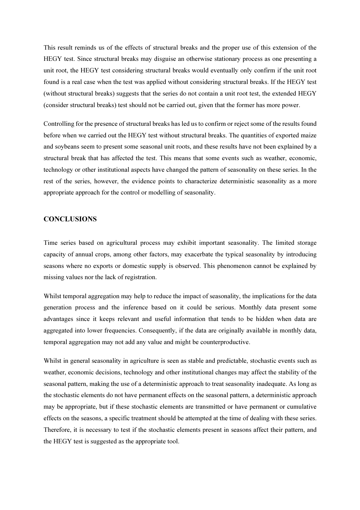This result reminds us of the effects of structural breaks and the proper use of this extension of the HEGY test. Since structural breaks may disguise an otherwise stationary process as one presenting a unit root, the HEGY test considering structural breaks would eventually only confirm if the unit root found is a real case when the test was applied without considering structural breaks. If the HEGY test (without structural breaks) suggests that the series do not contain a unit root test, the extended HEGY (consider structural breaks) test should not be carried out, given that the former has more power.

Controlling for the presence of structural breaks has led us to confirm or reject some of the results found before when we carried out the HEGY test without structural breaks. The quantities of exported maize and soybeans seem to present some seasonal unit roots, and these results have not been explained by a structural break that has affected the test. This means that some events such as weather, economic, technology or other institutional aspects have changed the pattern of seasonality on these series. In the rest of the series, however, the evidence points to characterize deterministic seasonality as a more appropriate approach for the control or modelling of seasonality.

#### **CONCLUSIONS**

Time series based on agricultural process may exhibit important seasonality. The limited storage capacity of annual crops, among other factors, may exacerbate the typical seasonality by introducing seasons where no exports or domestic supply is observed. This phenomenon cannot be explained by missing values nor the lack of registration.

Whilst temporal aggregation may help to reduce the impact of seasonality, the implications for the data generation process and the inference based on it could be serious. Monthly data present some advantages since it keeps relevant and useful information that tends to be hidden when data are aggregated into lower frequencies. Consequently, if the data are originally available in monthly data, temporal aggregation may not add any value and might be counterproductive.

Whilst in general seasonality in agriculture is seen as stable and predictable, stochastic events such as weather, economic decisions, technology and other institutional changes may affect the stability of the seasonal pattern, making the use of a deterministic approach to treat seasonality inadequate. As long as the stochastic elements do not have permanent effects on the seasonal pattern, a deterministic approach may be appropriate, but if these stochastic elements are transmitted or have permanent or cumulative effects on the seasons, a specific treatment should be attempted at the time of dealing with these series. Therefore, it is necessary to test if the stochastic elements present in seasons affect their pattern, and the HEGY test is suggested as the appropriate tool.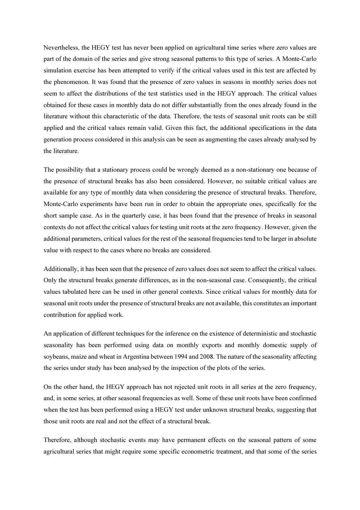Nevertheless, the HEGY test has never been applied on agricultural time series where zero values are part of the domain of the series and give strong seasonal patterns to this type of series. A Monte-Carlo simulation exercise has been attempted to verify if the critical values used in this test are affected by the phenomenon. It was found that the presence of zero values in seasons in monthly series does not seem to affect the distributions of the test statistics used in the HEGY approach. The critical values obtained for these cases in monthly data do not differ substantially from the ones already found in the literature without this characteristic of the data. Therefore, the tests of seasonal unit roots can be still applied and the critical values remain valid. Given this fact, the additional specifications in the data generation process considered in this analysis can be seen as augmenting the cases already analysed by the literature.

The possibility that a stationary process could be wrongly deemed as a non-stationary one because of the presence of structural breaks has also been considered. However, no suitable critical values are available for any type of monthly data when considering the presence of structural breaks. Therefore, Monte-Carlo experiments have been run in order to obtain the appropriate ones, specifically for the short sample case. As in the quarterly case, it has been found that the presence of breaks in seasonal contexts do not affect the critical values for testing unit roots at the zero frequency. However, given the additional parameters, critical values for the rest of the seasonal frequencies tend to be larger in absolute value with respect to the cases where no breaks are considered.

Additionally, it has been seen that the presence of zero values does not seem to affect the critical values. Only the structural breaks generate differences, as in the non-seasonal case. Consequently, the critical values tabulated here can be used in other general contexts. Since critical values for monthly data for seasonal unit roots under the presence of structural breaks are not available, this constitutes an important contribution for applied work.

An application of different techniques for the inference on the existence of deterministic and stochastic seasonality has been performed using data on monthly exports and monthly domestic supply of soybeans, maize and wheat in Argentina between 1994 and 2008. The nature of the seasonality affecting the series under study has been analysed by the inspection of the plots of the series.

On the other hand, the HEGY approach has not rejected unit roots in all series at the zero frequency, and, in some series, at other seasonal frequencies as well. Some of these unit roots have been confirmed when the test has been performed using a HEGY test under unknown structural breaks, suggesting that those unit roots are real and not the effect of a structural break.

Therefore, although stochastic events may have permanent effects on the seasonal pattern of some agricultural series that might require some specific econometric treatment, and that some of the series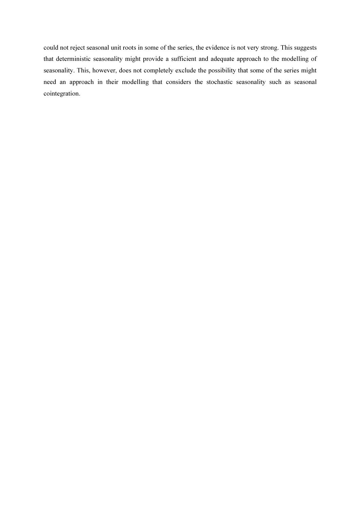could not reject seasonal unit roots in some of the series, the evidence is not very strong. This suggests that deterministic seasonality might provide a sufficient and adequate approach to the modelling of seasonality. This, however, does not completely exclude the possibility that some of the series might need an approach in their modelling that considers the stochastic seasonality such as seasonal cointegration.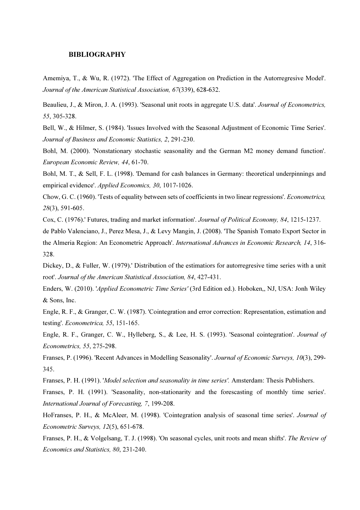#### BIBLIOGRAPHY

1. Amemiya, T., & Wu, R. (1972). 'The Effect of Aggregation on Prediction in the Autorregresive Model'. Journal of the American Statistical Association, 67(339), 628-632.

Beaulieu, J., & Miron, J. A. (1993). 'Seasonal unit roots in aggregate U.S. data'. Journal of Econometrics, 55, 305-328.

3. Bell, W., & Hilmer, S. (1984). 'Issues Involved with the Seasonal Adjustment of Economic Time Series'. Journal of Business and Economic Statistics, 2, 291-230.

4. Bohl, M. (2000). 'Nonstationary stochastic seasonality and the German M2 money demand function'. European Economic Review, 44, 61-70.

5. Bohl, M. T., & Sell, F. L. (1998). 'Demand for cash balances in Germany: theoretical underpinnings and empirical evidence'. Applied Economics, 30, 1017-1026.

6. Chow, G. C. (1960). 'Tests of equality between sets of coefficients in two linear regressions'. Econometrica, 28(3), 591-605.

Cox, C. (1976).' Futures, trading and market information'. Journal of Political Economy, 84, 1215-1237.

de Pablo Valenciano, J., Perez Mesa, J., & Levy Mangin, J. (2008). 'The Spanish Tomato Export Sector in the Almeria Region: An Econometric Approach'. International Advances in Economic Research, 14, 316- 328.

Dickey, D., & Fuller, W. (1979).' Distribution of the estimatiors for autorregresive time series with a unit root'. Journal of the American Statistical Association, 84, 427-431.

10. Enders, W. (2010). 'Applied Econometric Time Series' (3rd Edition ed.). Hoboken,, NJ, USA: Jonh Wiley & Sons, Inc.

11. Engle, R. F., & Granger, C. W. (1987). 'Cointegration and error correction: Representation, estimation and testing'. Econometrica, 55, 151-165.

Engle, R. F., Granger, C. W., Hylleberg, S., & Lee, H. S. (1993). 'Seasonal cointegration'. *Journal of* Econometrics, 55, 275-298.

13. Franses, P. (1996). 'Recent Advances in Modelling Seasonality'. Journal of Economic Surveys, 10(3), 299- 345.

Franses, P. H. (1991). 'Model selection and seasonality in time series'. Amsterdam: Thesis Publishers.

15. Franses, P. H. (1991). 'Seasonality, non-stationarity and the forescasting of monthly time series'. International Journal of Forecasting, 7, 199-208.

HoFranses, P. H., & McAleer, M. (1998). 'Cointegration analysis of seasonal time series'. Journal of Econometric Surveys, 12(5), 651-678.

Franses, P. H., & Volgelsang, T. J. (1998). 'On seasonal cycles, unit roots and mean shifts'. The Review of Economics and Statistics, 80, 231-240.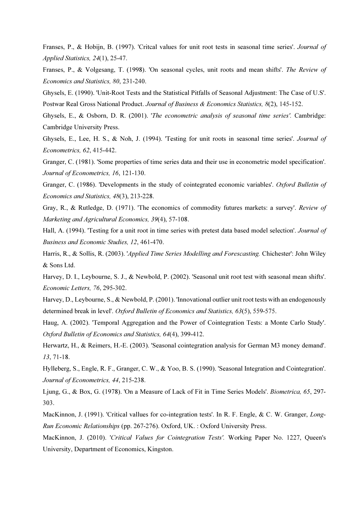Franses, P., & Hobijn, B. (1997). 'Critcal values for unit root tests in seasonal time series'. Journal of Applied Statistics, 24(1), 25-47.

Franses, P., & Volgesang, T. (1998). 'On seasonal cycles, unit roots and mean shifts'. The Review of Economics and Statistics, 80, 231-240.

20. Ghysels, E. (1990). 'Unit-Root Tests and the Statistical Pitfalls of Seasonal Adjustment: The Case of U.S'. Postwar Real Gross National Product. Journal of Business & Economics Statistics, 8(2), 145-152.

Ghysels, E., & Osborn, D. R. (2001). 'The econometric analysis of seasonal time series'. Cambridge: Cambridge University Press.

Ghysels, E., Lee, H. S., & Noh, J. (1994). 'Testing for unit roots in seasonal time series'. Journal of Econometrics, 62, 415-442.

Granger, C. (1981). 'Some properties of time series data and their use in econometric model specification'. Journal of Econometrics, 16, 121-130.

Granger, C. (1986). 'Developments in the study of cointegrated economic variables'. Oxford Bulletin of Economics and Statistics, 48(3), 213-228.

Gray, R., & Rutledge, D. (1971). 'The economics of commodity futures markets: a survey'. Review of Marketing and Agricultural Economics, 39(4), 57-108.

Hall, A. (1994). 'Testing for a unit root in time series with pretest data based model selection'. *Journal of* Business and Economic Studies, 12, 461-470.

Harris, R., & Sollis, R. (2003). '*Applied Time Series Modelling and Forescasting*. Chichester': John Wiley & Sons Ltd.

Harvey, D. I., Leybourne, S. J., & Newbold, P. (2002). 'Seasonal unit root test with seasonal mean shifts'. Economic Letters, 76, 295-302.

Harvey, D., Leybourne, S., & Newbold, P. (2001). 'Innovational outlier unit root tests with an endogenously determined break in level'. Oxford Bulletin of Economics and Statistics, 63(5), 559-575.

29. Haug, A. (2002). 'Temporal Aggregation and the Power of Cointegration Tests: a Monte Carlo Study'. Oxford Bulletin of Economics and Statistics, 64(4), 399-412.

30. Herwartz, H., & Reimers, H.-E. (2003). 'Seasonal cointegration analysis for German M3 money demand'. 13, 71-18.

31. Hylleberg, S., Engle, R. F., Granger, C. W., & Yoo, B. S. (1990). 'Seasonal Integration and Cointegration'. Journal of Econometrics, 44, 215-238.

Ljung, G., & Box, G. (1978). 'On a Measure of Lack of Fit in Time Series Models'. *Biometrica*, 65, 297-303.

MacKinnon, J. (1991). 'Critical vallues for co-integration tests'. In R. F. Engle, & C. W. Granger, Long-Run Economic Relationships (pp. 267-276). Oxford, UK. : Oxford University Press.

MacKinnon, J. (2010). 'Critical Values for Cointegration Tests'. Working Paper No. 1227, Queen's University, Department of Economics, Kingston.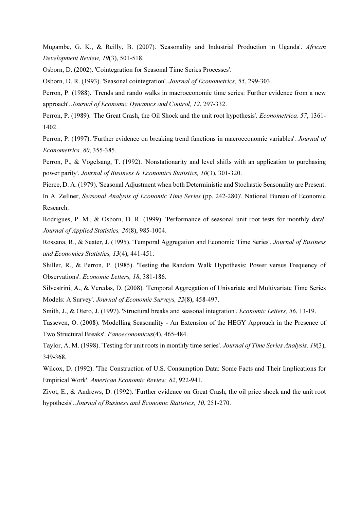Mugambe, G. K., & Reilly, B. (2007). 'Seasonality and Industrial Production in Uganda'. African Development Review, 19(3), 501-518.

36. Osborn, D. (2002). 'Cointegration for Seasonal Time Series Processes'.

Osborn, D. R. (1993). 'Seasonal cointegration'. Journal of Econometrics, 55, 299-303.

38. Perron, P. (1988). 'Trends and rando walks in macroeconomic time series: Further evidence from a new approach'. Journal of Economic Dynamics and Control, 12, 297-332.

Perron, P. (1989). 'The Great Crash, the Oil Shock and the unit root hypothesis'. Econometrica, 57, 1361-1402.

Perron, P. (1997). 'Further evidence on breaking trend functions in macroeconomic variables'. Journal of Econometrics, 80, 355-385.

Perron, P., & Vogelsang, T. (1992). 'Nonstationarity and level shifts with an application to purchasing power parity'. Journal of Business & Economics Statistics, 10(3), 301-320.

Pierce, D. A. (1979). 'Seasonal Adjustment when both Deterministic and Stochastic Seasonality are Present. In A. Zellner, Seasonal Analysis of Economic Time Series (pp. 242-280)'. National Bureau of Economic Research.

Rodrigues, P. M., & Osborn, D. R. (1999). 'Performance of seasonal unit root tests for monthly data'. Journal of Applied Statistics, 26(8), 985-1004.

Rossana, R., & Seater, J. (1995). 'Temporal Aggregation and Economic Time Series'. Journal of Business and Economics Statistics, 13(4), 441-451.

45. Shiller, R., & Perron, P. (1985). 'Testing the Random Walk Hypothesis: Power versus Frequency of Observations'. Economic Letters, 18, 381-186.

Silvestrini, A., & Veredas, D. (2008). 'Temporal Aggregation of Univariate and Multivariate Time Series Models: A Survey'. Journal of Economic Surveys, 22(8), 458-497.

47. Smith, J., & Otero, J. (1997). 'Structural breaks and seasonal integration'. Economic Letters, 56, 13-19.

Tasseven, O. (2008). 'Modelling Seasonality - An Extension of the HEGY Approach in the Presence of Two Structural Breaks'. Panoeconomicus(4), 465-484.

Taylor, A. M. (1998). 'Testing for unit roots in monthly time series'. Journal of Time Series Analysis, 19(3), 349-368.

50. Wilcox, D. (1992). 'The Construction of U.S. Consumption Data: Some Facts and Their Implications for Empirical Work'. American Economic Review, 82, 922-941.

51. Zivot, E., & Andrews, D. (1992). 'Further evidence on Great Crash, the oil price shock and the unit root hypothesis'. Journal of Business and Economic Statistics, 10, 251-270.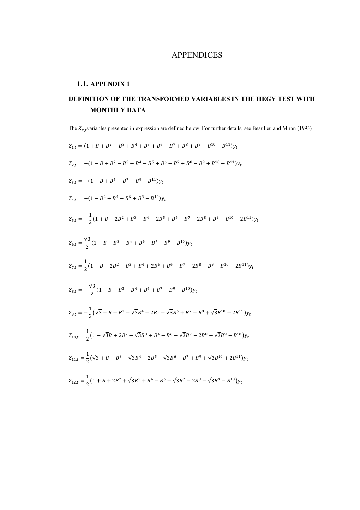## APPENDICES

### 1.1. APPENDIX 1

# DEFINITION OF THE TRANSFORMED VARIABLES IN THE HEGY TEST WITH MONTHLY DATA

The  $Z_{k,t}$  variables presented in expression are defined below. For further details, see Beaulieu and Miron (1993)

 $Z_{1,t} = (1 + B + B^2 + B^3 + B^4 + B^5 + B^6 + B^7 + B^8 + B^9 + B^{10} + B^{11})y_t$  $Z_{2,t} = -(1 - B + B^2 - B^3 + B^4 - B^5 + B^6 - B^7 + B^8 - B^9 + B^{10} - B^{11})y_t$  $Z_{3,t} = -(1 - B + B^5 - B^7 + B^9 - B^{11})y_t$  $Z_{4,t} = -(1 - B^2 + B^4 - B^6 + B^8 - B^{10})y_t$  $Z_{5,t} = -\frac{1}{2}$  $\frac{1}{2}(1+B-2B^2+B^3+B^4-2B^5+B^6+B^7-2B^8+B^9+B^{10}-2B^{11})y_t$  $Z_{6,t} = \frac{\sqrt{3}}{2}$  $\frac{1}{2}(1-B+B^3-B^4+B^6-B^7+B^9-B^{10})y_t$  $Z_{7,t} = \frac{1}{2}$  $\frac{1}{2}(1-B-2B^2-B^3+B^4+2B^5+B^6-B^7-2B^8-B^9+B^{10}+2B^{11})y_t$  $Z_{8,t} = -\frac{\sqrt{3}}{2}$  $\frac{15}{2}(1+B-B^3-B^4+B^6+B^7-B^9-B^{10})y_t$  $Z_{9,t} = -\frac{1}{2}$  $\frac{1}{2}(\sqrt{3}-B+B^3-\sqrt{3}B^4+2B^5-\sqrt{3}B^6+B^7-B^9+\sqrt{3}B^{10}-2B^{11})y_t$  $Z_{10,t} = \frac{1}{2}$  $\frac{1}{2}(1-\sqrt{3}B+2B^2-\sqrt{3}B^3+B^4-B^6+\sqrt{3}B^7-2B^8+\sqrt{3}B^9-B^{10})y_t$  $Z_{11,t} = \frac{1}{2}$  $\frac{1}{2}(\sqrt{3} + B - B^3 - \sqrt{3}B^4 - 2B^5 - \sqrt{3}B^6 - B^7 + B^9 + \sqrt{3}B^{10} + 2B^{11})y_t$  $Z_{12,t} = \frac{1}{2}$  $\frac{1}{2}(1+B+2B^2+\sqrt{3}B^3+B^4-B^6-\sqrt{3}B^7-2B^8-\sqrt{3}B^9-B^{10})y_t$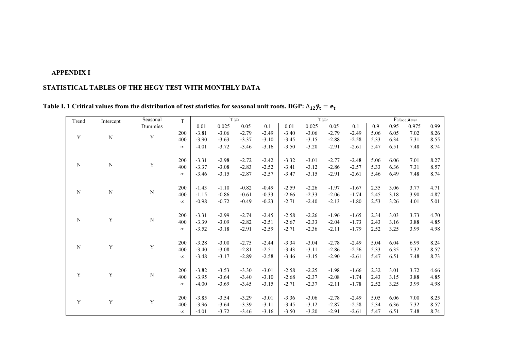## APPENDIX I

## STATISTICAL TABLES OF THE HEGY TEST WITH MONTHLY DATA

| Trend       | Intercept   | Seasonal    | T        |         |         | $\hat{t}$ : $\pi_1$ |         |         |         | $\dot{t}$ : $\pi_2$ |         |                   |      | $F\text{:}\pi_{\text{odd}},\!\pi_{\text{even}}$ |      |
|-------------|-------------|-------------|----------|---------|---------|---------------------|---------|---------|---------|---------------------|---------|-------------------|------|-------------------------------------------------|------|
|             |             | Dummies     |          | 0.01    | 0.025   | 0.05                | 0.1     | 0.01    | 0.025   | 0.05                | 0.1     | 0.9               | 0.95 | 0.975                                           | 0.99 |
|             |             |             | 200      | $-3.81$ | $-3.06$ | $-2.79$             | $-2.49$ | $-3.40$ | $-3.06$ | $-2.79$             | $-2.49$ | $\overline{5.06}$ | 6.05 | 7.02                                            | 8.26 |
| Y           | $\mathbf N$ | Y           | 400      | $-3.90$ | $-3.63$ | $-3.37$             | $-3.10$ | $-3.45$ | $-3.15$ | $-2.88$             | $-2.58$ | 5.33              | 6.34 | 7.31                                            | 8.55 |
|             |             |             | $\infty$ | $-4.01$ | $-3.72$ | $-3.46$             | $-3.16$ | $-3.50$ | $-3.20$ | $-2.91$             | $-2.61$ | 5.47              | 6.51 | 7.48                                            | 8.74 |
|             |             |             | 200      | $-3.31$ | $-2.98$ | $-2.72$             | $-2.42$ | $-3.32$ | $-3.01$ | $-2.77$             | $-2.48$ | 5.06              | 6.06 | 7.01                                            | 8.27 |
| ${\bf N}$   | ${\bf N}$   | Y           | 400      | $-3.37$ | $-3.08$ | $-2.83$             | $-2.52$ | $-3.41$ | $-3.12$ | $-2.86$             | $-2.57$ | 5.33              | 6.36 | 7.31                                            | 8.57 |
|             |             |             | $\infty$ | $-3.46$ | $-3.15$ | $-2.87$             | $-2.57$ | $-3.47$ | $-3.15$ | $-2.91$             | $-2.61$ | 5.46              | 6.49 | 7.48                                            | 8.74 |
|             |             |             | 200      | $-1.43$ | $-1.10$ | $-0.82$             | $-0.49$ | $-2.59$ | $-2.26$ | $-1.97$             | $-1.67$ | 2.35              | 3.06 | 3.77                                            | 4.71 |
| $\mathbf N$ | ${\bf N}$   | ${\bf N}$   | 400      | $-1.15$ | $-0.86$ | $-0.61$             | $-0.33$ | $-2.66$ | $-2.33$ | $-2.06$             | $-1.74$ | 2.45              | 3.18 | 3.90                                            | 4.87 |
|             |             |             | $\infty$ | $-0.98$ | $-0.72$ | $-0.49$             | $-0.23$ | $-2.71$ | $-2.40$ | $-2.13$             | $-1.80$ | 2.53              | 3.26 | 4.01                                            | 5.01 |
|             |             |             |          |         |         |                     |         |         |         |                     |         |                   |      |                                                 |      |
|             |             |             | 200      | $-3.31$ | $-2.99$ | $-2.74$             | $-2.45$ | $-2.58$ | $-2.26$ | $-1.96$             | $-1.65$ | 2.34              | 3.03 | 3.73                                            | 4.70 |
| $\mathbf N$ | $\mathbf Y$ | ${\bf N}$   | 400      | $-3.39$ | $-3.09$ | $-2.82$             | $-2.51$ | $-2.67$ | $-2.33$ | $-2.04$             | $-1.73$ | 2.43              | 3.16 | 3.88                                            | 4.85 |
|             |             |             | $\infty$ | $-3.52$ | $-3.18$ | $-2.91$             | $-2.59$ | $-2.71$ | $-2.36$ | $-2.11$             | $-1.79$ | 2.52              | 3.25 | 3.99                                            | 4.98 |
|             |             |             | 200      | $-3.28$ | $-3.00$ | $-2.75$             | $-2.44$ | $-3.34$ | $-3.04$ | $-2.78$             | $-2.49$ | 5.04              | 6.04 | 6.99                                            | 8.24 |
| $\mathbf N$ | $\mathbf Y$ | $\mathbf Y$ | 400      | $-3.40$ | $-3.08$ | $-2.81$             | $-2.51$ | $-3.43$ | $-3.11$ | $-2.86$             | $-2.56$ | 5.33              | 6.35 | 7.32                                            | 8.57 |
|             |             |             | $\infty$ | $-3.48$ | $-3.17$ | $-2.89$             | $-2.58$ | $-3.46$ | $-3.15$ | $-2.90$             | $-2.61$ | 5.47              | 6.51 | 7.48                                            | 8.73 |
|             |             |             |          |         |         |                     |         |         |         |                     |         |                   |      |                                                 |      |
| Y           | Y           | ${\bf N}$   | 200      | $-3.82$ | $-3.53$ | $-3.30$             | $-3.01$ | $-2.58$ | $-2.25$ | $-1.98$             | $-1.66$ | 2.32              | 3.01 | 3.72                                            | 4.66 |
|             |             |             | 400      | $-3.95$ | $-3.64$ | $-3.40$             | $-3.10$ | $-2.68$ | $-2.37$ | $-2.08$             | $-1.74$ | 2.43              | 3.15 | 3.88                                            | 4.85 |
|             |             |             | $\infty$ | $-4.00$ | $-3.69$ | $-3.45$             | $-3.15$ | $-2.71$ | $-2.37$ | $-2.11$             | $-1.78$ | 2.52              | 3.25 | 3.99                                            | 4.98 |
|             |             |             | 200      | $-3.85$ | $-3.54$ | $-3.29$             | $-3.01$ | $-3.36$ | $-3.06$ | $-2.78$             | $-2.49$ | 5.05              | 6.06 | 7.00                                            | 8.25 |
| Y           | Y           | Y           | 400      | $-3.96$ | $-3.64$ | $-3.39$             | $-3.11$ | $-3.45$ | $-3.12$ | $-2.87$             | $-2.58$ | 5.34              | 6.36 | 7.32                                            | 8.57 |
|             |             |             | $\infty$ | $-4.01$ | $-3.72$ | $-3.46$             | $-3.16$ | $-3.50$ | $-3.20$ | $-2.91$             | $-2.61$ | 5.47              | 6.51 | 7.48                                            | 8.74 |

Table I. 1 Critical values from the distribution of test statistics for seasonal unit roots. DGP:  $\Delta_{12}\tilde{y}_t = e_t$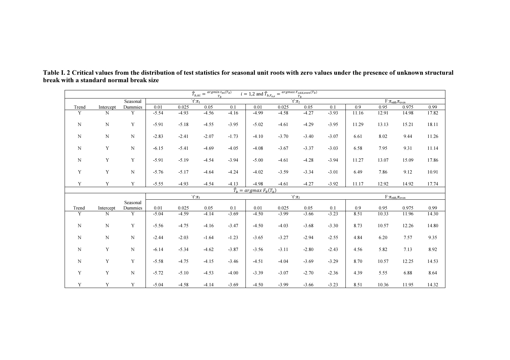| $\hat{T}_{b,\pi i} = \frac{argmin_{\tau_i} t_{\pi i}(T_b)}{T_b}$<br>$i = 1,2$ and $\hat{T}_{b,F_{o,e}} = \frac{argmax F_{odd,even}(T_b)}{T_b}$ |             |             |         |                     |         |         |                                                   |                   |         |         |                          |       |                          |       |  |
|------------------------------------------------------------------------------------------------------------------------------------------------|-------------|-------------|---------|---------------------|---------|---------|---------------------------------------------------|-------------------|---------|---------|--------------------------|-------|--------------------------|-------|--|
|                                                                                                                                                |             | Seasonal    |         | $\hat{t}$ : $\pi_1$ |         |         |                                                   | $\hat{t}$ : $\pi$ |         |         | $F:\pi_{odd},\pi_{even}$ |       |                          |       |  |
| Trend                                                                                                                                          | Intercept   | Dummies     | 0.01    | 0.025               | 0.05    | 0.1     | 0.01                                              | 0.025             | 0.05    | 0.1     | 0.9                      | 0.95  | 0.975                    | 0.99  |  |
| Y                                                                                                                                              | N           | Y           | $-5.54$ | $-4.93$             | $-4.56$ | $-4.16$ | $-4.99$                                           | $-4.58$           | $-4.27$ | $-3.93$ | 11.16                    | 12.91 | 14.98                    | 17.82 |  |
| $\mathbf N$                                                                                                                                    | $\mathbf N$ | Y           | $-5.91$ | $-5.18$             | $-4.55$ | $-3.95$ | $-5.02$                                           | $-4.61$           | $-4.29$ | $-3.95$ | 11.29                    | 13.13 | 15.21                    | 18.11 |  |
| $\mathbf N$                                                                                                                                    | $\mathbf N$ | $\mathbf N$ | $-2.83$ | $-2.41$             | $-2.07$ | $-1.73$ | $-4.10$                                           | $-3.70$           | $-3.40$ | $-3.07$ | 6.61                     | 8.02  | 9.44                     | 11.26 |  |
| N                                                                                                                                              | Y           | $\mathbf N$ | $-6.15$ | $-5.41$             | $-4.69$ | $-4.05$ | $-4.08$                                           | $-3.67$           | $-3.37$ | $-3.03$ | 6.58                     | 7.95  | 9.31                     | 11.14 |  |
| N                                                                                                                                              | Y           | Y           | $-5.91$ | $-5.19$             | $-4.54$ | $-3.94$ | $-5.00$                                           | $-4.61$           | $-4.28$ | $-3.94$ | 11.27                    | 13.07 | 15.09                    | 17.86 |  |
| Y                                                                                                                                              | Y           | $\mathbf N$ | $-5.76$ | $-5.17$             | $-4.64$ | $-4.24$ | $-4.02$                                           | $-3.59$           | $-3.34$ | $-3.01$ | 6.49                     | 7.86  | 9.12                     | 10.91 |  |
| Y                                                                                                                                              | Y           | Y           | $-5.55$ | $-4.93$             | $-4.54$ | $-4.13$ | $-4.98$                                           | $-4.61$           | $-4.27$ | $-3.92$ | 11.17                    | 12.92 | 14.92                    | 17.74 |  |
|                                                                                                                                                |             |             |         |                     |         |         | $\hat{T}_b = \operatorname{argmax} F_\theta(T_b)$ |                   |         |         |                          |       |                          |       |  |
|                                                                                                                                                |             |             |         | $\hat{t}$ : $\pi_1$ |         |         |                                                   | $\hat{t}$ : $\pi$ |         |         |                          |       | $F:\pi_{odd},\pi_{even}$ |       |  |
|                                                                                                                                                |             | Seasonal    |         |                     |         |         |                                                   |                   |         |         |                          |       |                          |       |  |
| Trend                                                                                                                                          | Intercept   | Dummies     | 0.01    | 0.025               | 0.05    | 0.1     | 0.01                                              | 0.025             | 0.05    | 0.1     | 0.9                      | 0.95  | 0.975                    | 0.99  |  |
| Y                                                                                                                                              | N           | Y           | $-5.04$ | $-4.59$             | $-4.14$ | $-3.69$ | $-4.50$                                           | $-3.99$           | $-3.66$ | $-3.23$ | 8.51                     | 10.33 | 11.96                    | 14.30 |  |
| $\mathbf N$                                                                                                                                    | $\mathbf N$ | Y           | $-5.56$ | $-4.75$             | $-4.16$ | $-3.47$ | $-4.50$                                           | $-4.03$           | $-3.68$ | $-3.30$ | 8.73                     | 10.57 | 12.26                    | 14.80 |  |
| $\mathbf N$                                                                                                                                    | $\mathbf N$ | $\mathbf N$ | $-2.44$ | $-2.03$             | $-1.64$ | $-1.23$ | $-3.65$                                           | $-3.27$           | $-2.94$ | $-2.55$ | 4.84                     | 6.20  | 7.57                     | 9.35  |  |
| N                                                                                                                                              | Y           | $\mathbf N$ | $-6.14$ | $-5.34$             | $-4.62$ | $-3.87$ | $-3.56$                                           | $-3.11$           | $-2.80$ | $-2.43$ | 4.56                     | 5.82  | 7.13                     | 8.92  |  |
| $\mathbf N$                                                                                                                                    | $\mathbf Y$ | Y           | $-5.58$ | $-4.75$             | $-4.15$ | $-3.46$ | $-4.51$                                           | $-4.04$           | $-3.69$ | $-3.29$ | 8.70                     | 10.57 | 12.25                    | 14.53 |  |
| Y                                                                                                                                              | $\mathbf Y$ | $\mathbf N$ | $-5.72$ | $-5.10$             | $-4.53$ | $-4.00$ | $-3.39$                                           | $-3.07$           | $-2.70$ | $-2.36$ | 4.39                     | 5.55  | 6.88                     | 8.64  |  |
| Y                                                                                                                                              | $\mathbf Y$ | Y           | $-5.04$ | $-4.58$             | $-4.14$ | $-3.69$ | $-4.50$                                           | $-3.99$           | $-3.66$ | $-3.23$ | 8.51                     | 10.36 | 11.95                    | 14.32 |  |

Table I. 2 Critical values from the distribution of test statistics for seasonal unit roots with zero values under the presence of unknown structural break with a standard normal break size